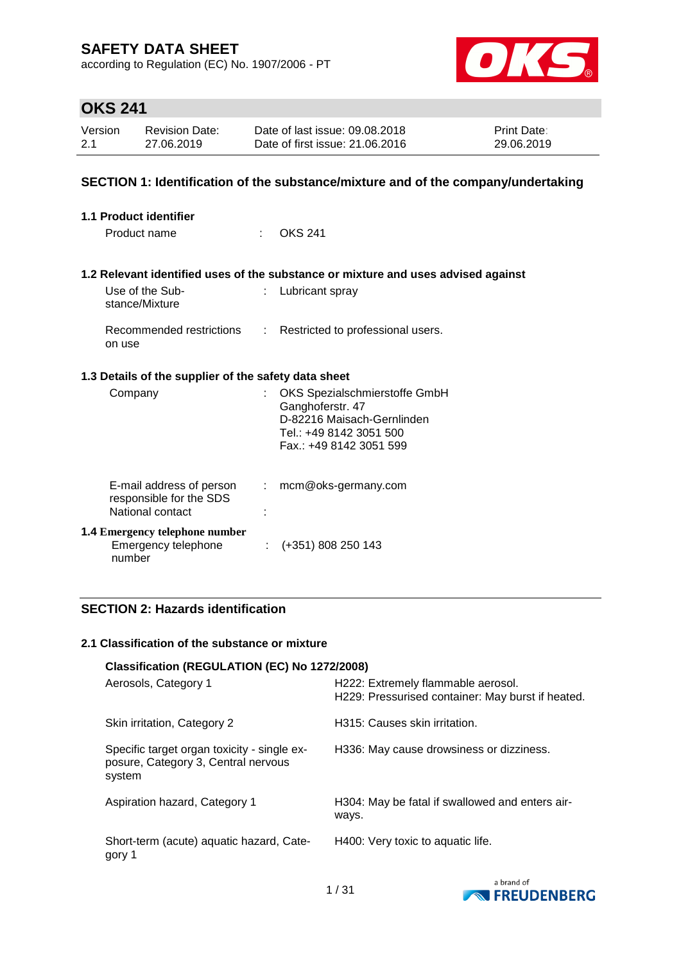according to Regulation (EC) No. 1907/2006 - PT



# **OKS 241**

| Version | <b>Revision Date:</b> | Date of last issue: 09.08.2018  | <b>Print Date:</b> |
|---------|-----------------------|---------------------------------|--------------------|
| 2.1     | 27.06.2019            | Date of first issue: 21,06,2016 | 29.06.2019         |

### **SECTION 1: Identification of the substance/mixture and of the company/undertaking**

| 1.1 Product identifier                                                  |      |                                                                                                                                       |
|-------------------------------------------------------------------------|------|---------------------------------------------------------------------------------------------------------------------------------------|
| Product name                                                            | t in | <b>OKS 241</b>                                                                                                                        |
|                                                                         |      | 1.2 Relevant identified uses of the substance or mixture and uses advised against                                                     |
| Use of the Sub-<br>stance/Mixture                                       | t.   | Lubricant spray                                                                                                                       |
| on use                                                                  |      | Recommended restrictions : Restricted to professional users.                                                                          |
| 1.3 Details of the supplier of the safety data sheet                    |      |                                                                                                                                       |
| Company                                                                 | t.   | OKS Spezialschmierstoffe GmbH<br>Ganghoferstr. 47<br>D-82216 Maisach-Gernlinden<br>Tel.: +49 8142 3051 500<br>Fax.: +49 8142 3051 599 |
| E-mail address of person<br>responsible for the SDS<br>National contact |      | $:$ mcm@oks-germany.com                                                                                                               |
| <b>1.4 Emergency telephone number</b><br>Emergency telephone<br>number  |      | $\div$ (+351) 808 250 143                                                                                                             |

### **SECTION 2: Hazards identification**

### **2.1 Classification of the substance or mixture**

|                                                                                              | Classification (REGULATION (EC) No 1272/2008)                                           |  |  |  |  |
|----------------------------------------------------------------------------------------------|-----------------------------------------------------------------------------------------|--|--|--|--|
| Aerosols, Category 1                                                                         | H222: Extremely flammable aerosol.<br>H229: Pressurised container: May burst if heated. |  |  |  |  |
| Skin irritation, Category 2                                                                  | H315: Causes skin irritation.                                                           |  |  |  |  |
| Specific target organ toxicity - single ex-<br>posure, Category 3, Central nervous<br>system | H336: May cause drowsiness or dizziness.                                                |  |  |  |  |
| Aspiration hazard, Category 1                                                                | H304: May be fatal if swallowed and enters air-<br>ways.                                |  |  |  |  |
| Short-term (acute) aquatic hazard, Cate-<br>gory 1                                           | H400: Very toxic to aquatic life.                                                       |  |  |  |  |

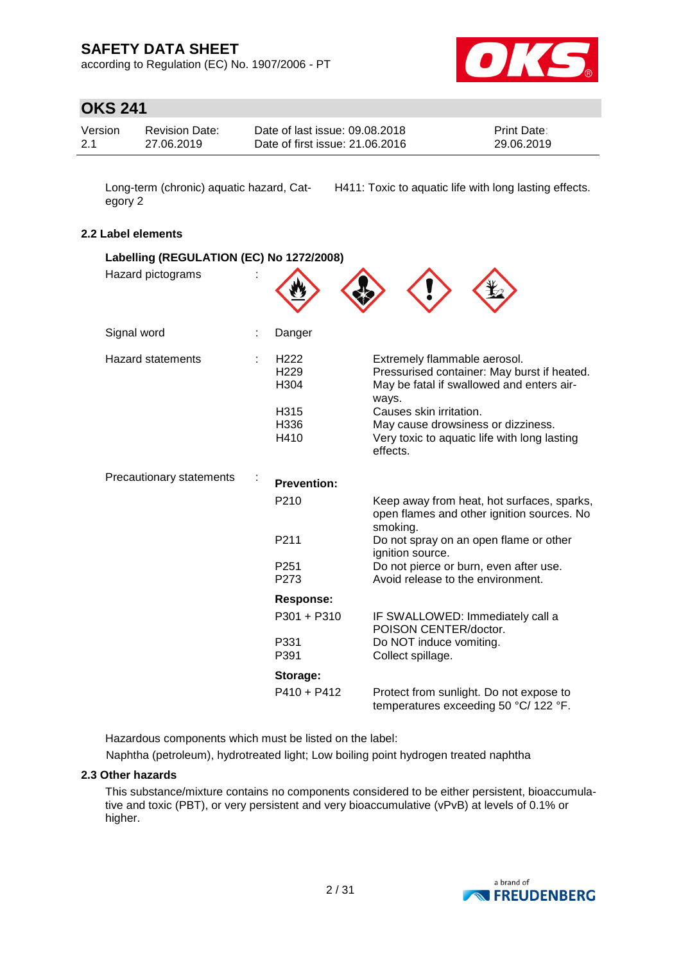according to Regulation (EC) No. 1907/2006 - PT



# **OKS 241**

| Version | <b>Revision Date:</b> | Date of last issue: 09.08.2018  | <b>Print Date:</b> |
|---------|-----------------------|---------------------------------|--------------------|
| 2.1     | 27.06.2019            | Date of first issue: 21.06.2016 | 29.06.2019         |

Long-term (chronic) aquatic hazard, Category 2

H411: Toxic to aquatic life with long lasting effects.

### **2.2 Label elements**

| Labelling (REGULATION (EC) No 1272/2008) |                                              |                                                                                                                                   |
|------------------------------------------|----------------------------------------------|-----------------------------------------------------------------------------------------------------------------------------------|
| Hazard pictograms                        |                                              |                                                                                                                                   |
| Signal word                              | Danger                                       |                                                                                                                                   |
| <b>Hazard statements</b>                 | H <sub>222</sub><br>H <sub>229</sub><br>H304 | Extremely flammable aerosol.<br>Pressurised container: May burst if heated.<br>May be fatal if swallowed and enters air-<br>ways. |
|                                          | H315<br>H336<br>H410                         | Causes skin irritation.<br>May cause drowsiness or dizziness.<br>Very toxic to aquatic life with long lasting<br>effects.         |
| Precautionary statements                 | <b>Prevention:</b>                           |                                                                                                                                   |
|                                          | P <sub>210</sub>                             | Keep away from heat, hot surfaces, sparks,<br>open flames and other ignition sources. No<br>smoking.                              |
|                                          | P <sub>211</sub>                             | Do not spray on an open flame or other<br>ignition source.                                                                        |
|                                          | P <sub>251</sub><br>P273                     | Do not pierce or burn, even after use.<br>Avoid release to the environment.                                                       |
|                                          | <b>Response:</b>                             |                                                                                                                                   |
|                                          | P301 + P310                                  | IF SWALLOWED: Immediately call a<br>POISON CENTER/doctor.                                                                         |
|                                          | P331<br>P391                                 | Do NOT induce vomiting.<br>Collect spillage.                                                                                      |
|                                          | Storage:                                     |                                                                                                                                   |
|                                          | $P410 + P412$                                | Protect from sunlight. Do not expose to<br>temperatures exceeding 50 °C/ 122 °F.                                                  |

Hazardous components which must be listed on the label:

Naphtha (petroleum), hydrotreated light; Low boiling point hydrogen treated naphtha

### **2.3 Other hazards**

This substance/mixture contains no components considered to be either persistent, bioaccumulative and toxic (PBT), or very persistent and very bioaccumulative (vPvB) at levels of 0.1% or higher.

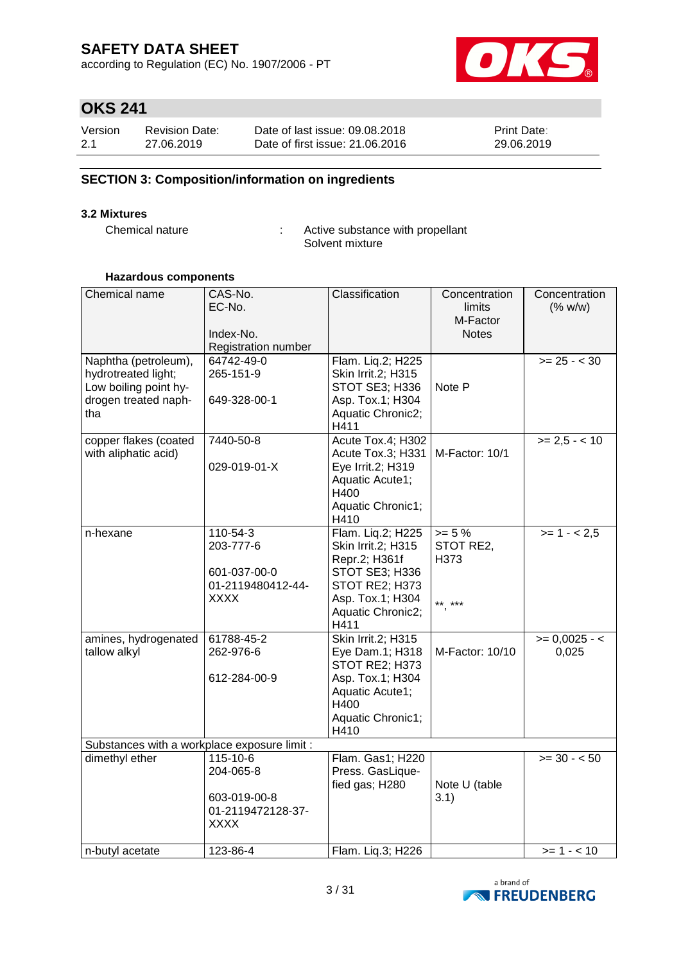according to Regulation (EC) No. 1907/2006 - PT



# **OKS 241**

| Version | <b>Revision Date:</b> | Date of last issue: 09.08.2018  | <b>Print Date:</b> |
|---------|-----------------------|---------------------------------|--------------------|
| 2.1     | 27.06.2019            | Date of first issue: 21,06,2016 | 29.06.2019         |

### **SECTION 3: Composition/information on ingredients**

#### **3.2 Mixtures**

Chemical nature : Active substance with propellant Solvent mixture

### **Hazardous components**

| Chemical name                                                                                       | CAS-No.<br>EC-No.<br>Index-No.<br>Registration number                     | Classification                                                                                                                                | Concentration<br>limits<br>M-Factor<br><b>Notes</b> | Concentration<br>(% w/w) |
|-----------------------------------------------------------------------------------------------------|---------------------------------------------------------------------------|-----------------------------------------------------------------------------------------------------------------------------------------------|-----------------------------------------------------|--------------------------|
| Naphtha (petroleum),<br>hydrotreated light;<br>Low boiling point hy-<br>drogen treated naph-<br>tha | 64742-49-0<br>265-151-9<br>649-328-00-1                                   | Flam. Liq.2; H225<br>Skin Irrit.2; H315<br>STOT SE3; H336<br>Asp. Tox.1; H304<br>Aquatic Chronic2;<br>H411                                    | Note P                                              | $>= 25 - < 30$           |
| copper flakes (coated<br>with aliphatic acid)                                                       | 7440-50-8<br>029-019-01-X                                                 | Acute Tox.4; H302<br>Acute Tox.3; H331<br>Eye Irrit.2; H319<br>Aquatic Acute1;<br>H400<br>Aquatic Chronic1;<br>H410                           | M-Factor: 10/1                                      | $>= 2.5 - <10$           |
| n-hexane                                                                                            | 110-54-3<br>203-777-6<br>601-037-00-0<br>01-2119480412-44-<br><b>XXXX</b> | Flam. Liq.2; H225<br>Skin Irrit.2; H315<br>Repr.2; H361f<br>STOT SE3; H336<br>STOT RE2; H373<br>Asp. Tox.1; H304<br>Aquatic Chronic2;<br>H411 | $>= 5 \%$<br>STOT RE2,<br>H373<br>** ***            | $>= 1 - 2.5$             |
| amines, hydrogenated<br>tallow alkyl                                                                | 61788-45-2<br>262-976-6<br>612-284-00-9                                   | <b>Skin Irrit.2; H315</b><br>Eye Dam.1; H318<br>STOT RE2; H373<br>Asp. Tox.1; H304<br>Aquatic Acute1;<br>H400<br>Aquatic Chronic1;<br>H410    | M-Factor: 10/10                                     | $>= 0,0025 - 5$<br>0,025 |
| Substances with a workplace exposure limit :                                                        |                                                                           |                                                                                                                                               |                                                     |                          |
| dimethyl ether                                                                                      | 115-10-6<br>204-065-8<br>603-019-00-8<br>01-2119472128-37-<br><b>XXXX</b> | Flam. Gas1; H220<br>Press. GasLique-<br>fied gas; H280                                                                                        | Note U (table<br>3.1)                               | $>= 30 - 50$             |
| n-butyl acetate                                                                                     | 123-86-4                                                                  | Flam. Liq.3; H226                                                                                                                             |                                                     | $>= 1 - 10$              |

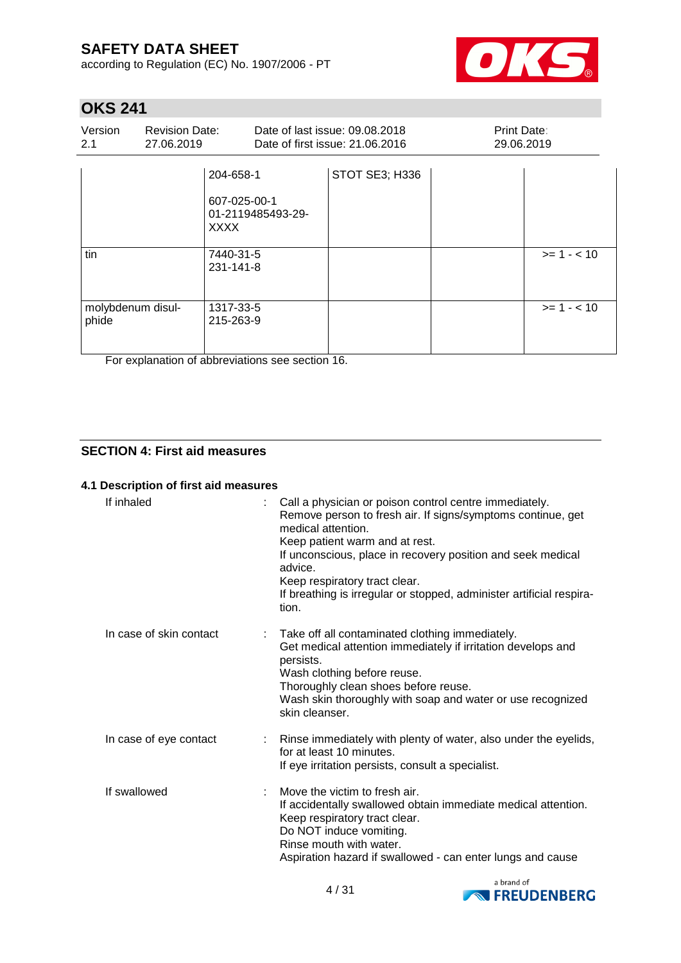according to Regulation (EC) No. 1907/2006 - PT



# **OKS 241**

| Version<br>2.1             | <b>Revision Date:</b><br>27.06.2019 |                                                                                         | Date of last issue: 09.08.2018<br>Date of first issue: 21.06.2016 | Print Date:<br>29.06.2019 |             |
|----------------------------|-------------------------------------|-----------------------------------------------------------------------------------------|-------------------------------------------------------------------|---------------------------|-------------|
| tin                        |                                     | 204-658-1<br>607-025-00-1<br>01-2119485493-29-<br><b>XXXX</b><br>7440-31-5<br>231-141-8 | STOT SE3; H336                                                    |                           | $>= 1 - 10$ |
| molybdenum disul-<br>phide |                                     | 1317-33-5<br>215-263-9                                                                  |                                                                   |                           | $>= 1 - 10$ |

For explanation of abbreviations see section 16.

### **SECTION 4: First aid measures**

#### **4.1 Description of first aid measures**

| If inhaled              | Call a physician or poison control centre immediately.<br>Remove person to fresh air. If signs/symptoms continue, get<br>medical attention.<br>Keep patient warm and at rest.<br>If unconscious, place in recovery position and seek medical<br>advice.<br>Keep respiratory tract clear.<br>If breathing is irregular or stopped, administer artificial respira-<br>tion. |
|-------------------------|---------------------------------------------------------------------------------------------------------------------------------------------------------------------------------------------------------------------------------------------------------------------------------------------------------------------------------------------------------------------------|
| In case of skin contact | Take off all contaminated clothing immediately.<br>Get medical attention immediately if irritation develops and<br>persists.<br>Wash clothing before reuse.<br>Thoroughly clean shoes before reuse.<br>Wash skin thoroughly with soap and water or use recognized<br>skin cleanser.                                                                                       |
| In case of eye contact  | : Rinse immediately with plenty of water, also under the eyelids,<br>for at least 10 minutes.<br>If eye irritation persists, consult a specialist.                                                                                                                                                                                                                        |
| If swallowed            | Move the victim to fresh air.<br>If accidentally swallowed obtain immediate medical attention.<br>Keep respiratory tract clear.<br>Do NOT induce vomiting.<br>Rinse mouth with water.<br>Aspiration hazard if swallowed - can enter lungs and cause                                                                                                                       |

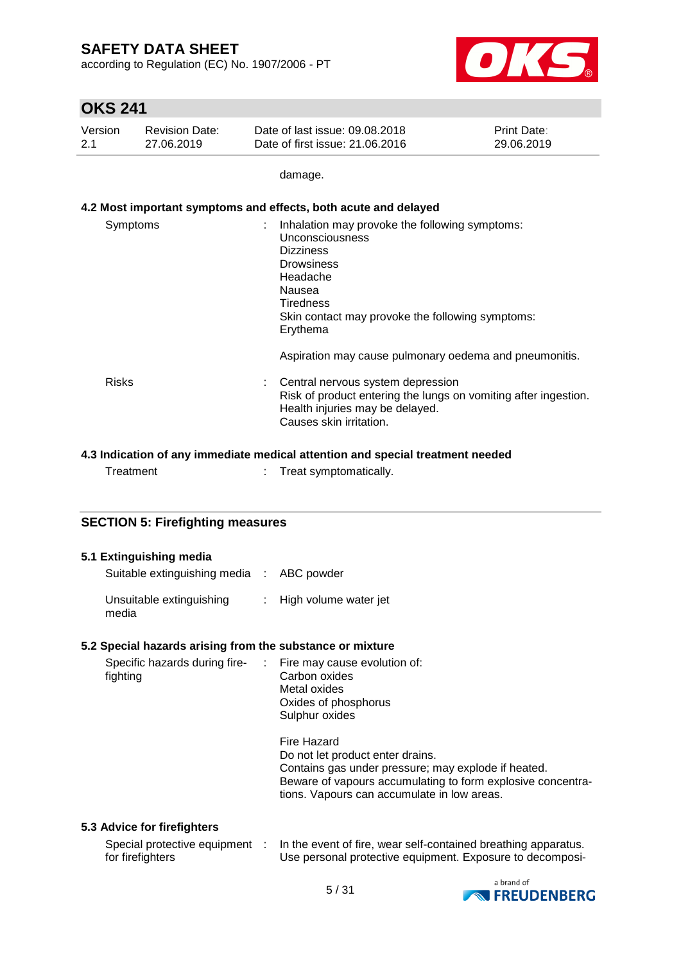according to Regulation (EC) No. 1907/2006 - PT



### **OKS 241**

| Version | <b>Revision Date:</b> | Date of last issue: 09.08.2018  | <b>Print Date:</b> |
|---------|-----------------------|---------------------------------|--------------------|
| 2.1     | 27.06.2019            | Date of first issue: 21,06,2016 | 29.06.2019         |

damage.

### **4.2 Most important symptoms and effects, both acute and delayed**

| Symptoms     | Inhalation may provoke the following symptoms:<br>Unconsciousness<br><b>Dizziness</b><br><b>Drowsiness</b><br>Headache<br>Nausea<br>Tiredness<br>Skin contact may provoke the following symptoms:<br>Erythema |
|--------------|---------------------------------------------------------------------------------------------------------------------------------------------------------------------------------------------------------------|
|              | Aspiration may cause pulmonary oedema and pneumonitis.                                                                                                                                                        |
| <b>Risks</b> | Central nervous system depression<br>Risk of product entering the lungs on vomiting after ingestion.<br>Health injuries may be delayed.<br>Causes skin irritation.                                            |

### **4.3 Indication of any immediate medical attention and special treatment needed**

|  | Treatment |  | Treat symptomatically. |
|--|-----------|--|------------------------|
|--|-----------|--|------------------------|

### **SECTION 5: Firefighting measures**

### **5.1 Extinguishing media**

| Suitable extinguishing media : ABC powder |                         |
|-------------------------------------------|-------------------------|
| Unsuitable extinguishing<br>media         | : High volume water jet |

### **5.2 Special hazards arising from the substance or mixture**

| fighting | Metal oxides<br>Oxides of phosphorus<br>Sulphur oxides                                                                                                                                                               |
|----------|----------------------------------------------------------------------------------------------------------------------------------------------------------------------------------------------------------------------|
|          | Fire Hazard<br>Do not let product enter drains.<br>Contains gas under pressure; may explode if heated.<br>Beware of vapours accumulating to form explosive concentra-<br>tions. Vapours can accumulate in low areas. |

### **5.3 Advice for firefighters**

| Special protective equipment | In the event of fire, wear self-contained breathing apparatus. |
|------------------------------|----------------------------------------------------------------|
| for firefighters             | Use personal protective equipment. Exposure to decomposi-      |

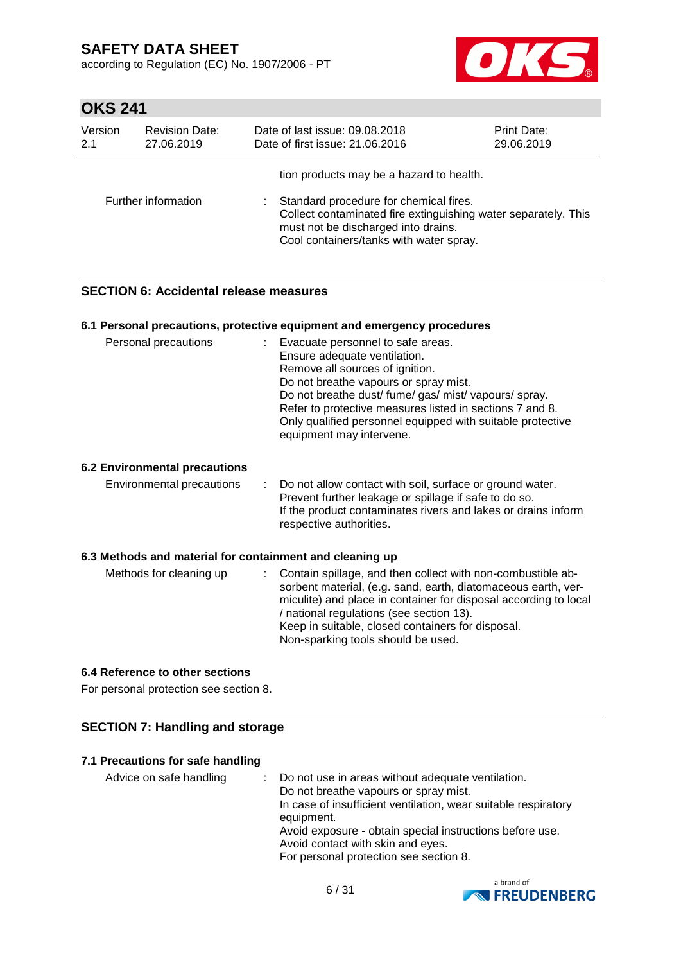according to Regulation (EC) No. 1907/2006 - PT



# **OKS 241**

| Version | <b>Revision Date:</b> | Date of last issue: 09.08.2018                                                                                                                                                                                                         | <b>Print Date:</b> |
|---------|-----------------------|----------------------------------------------------------------------------------------------------------------------------------------------------------------------------------------------------------------------------------------|--------------------|
| 2.1     | 27.06.2019            | Date of first issue: 21.06.2016                                                                                                                                                                                                        | 29.06.2019         |
|         | Further information   | tion products may be a hazard to health.<br>Standard procedure for chemical fires.<br>Collect contaminated fire extinguishing water separately. This<br>must not be discharged into drains.<br>Cool containers/tanks with water spray. |                    |

### **SECTION 6: Accidental release measures**

#### **6.1 Personal precautions, protective equipment and emergency procedures**

| Personal precautions                 | : Evacuate personnel to safe areas.<br>Ensure adequate ventilation.<br>Remove all sources of ignition.<br>Do not breathe vapours or spray mist.<br>Do not breathe dust/ fume/ gas/ mist/ vapours/ spray.<br>Refer to protective measures listed in sections 7 and 8.<br>Only qualified personnel equipped with suitable protective<br>equipment may intervene. |
|--------------------------------------|----------------------------------------------------------------------------------------------------------------------------------------------------------------------------------------------------------------------------------------------------------------------------------------------------------------------------------------------------------------|
| <b>6.2 Environmental precautions</b> |                                                                                                                                                                                                                                                                                                                                                                |
| Environmental precautions            | : Do not allow contact with soil, surface or ground water.<br>Prevent further leakage or spillage if safe to do so.<br>If the product contaminates rivers and lakes or drains inform<br>respective authorities.                                                                                                                                                |

#### **6.3 Methods and material for containment and cleaning up**

| Methods for cleaning up |  | : Contain spillage, and then collect with non-combustible ab-<br>sorbent material, (e.g. sand, earth, diatomaceous earth, ver-<br>miculite) and place in container for disposal according to local<br>/ national regulations (see section 13).<br>Keep in suitable, closed containers for disposal.<br>Non-sparking tools should be used. |
|-------------------------|--|-------------------------------------------------------------------------------------------------------------------------------------------------------------------------------------------------------------------------------------------------------------------------------------------------------------------------------------------|
|-------------------------|--|-------------------------------------------------------------------------------------------------------------------------------------------------------------------------------------------------------------------------------------------------------------------------------------------------------------------------------------------|

### **6.4 Reference to other sections**

For personal protection see section 8.

### **SECTION 7: Handling and storage**

#### **7.1 Precautions for safe handling**

| Advice on safe handling | Do not use in areas without adequate ventilation.<br>Do not breathe vapours or spray mist.<br>In case of insufficient ventilation, wear suitable respiratory<br>equipment.<br>Avoid exposure - obtain special instructions before use.<br>Avoid contact with skin and eyes. |
|-------------------------|-----------------------------------------------------------------------------------------------------------------------------------------------------------------------------------------------------------------------------------------------------------------------------|
|                         | For personal protection see section 8.                                                                                                                                                                                                                                      |

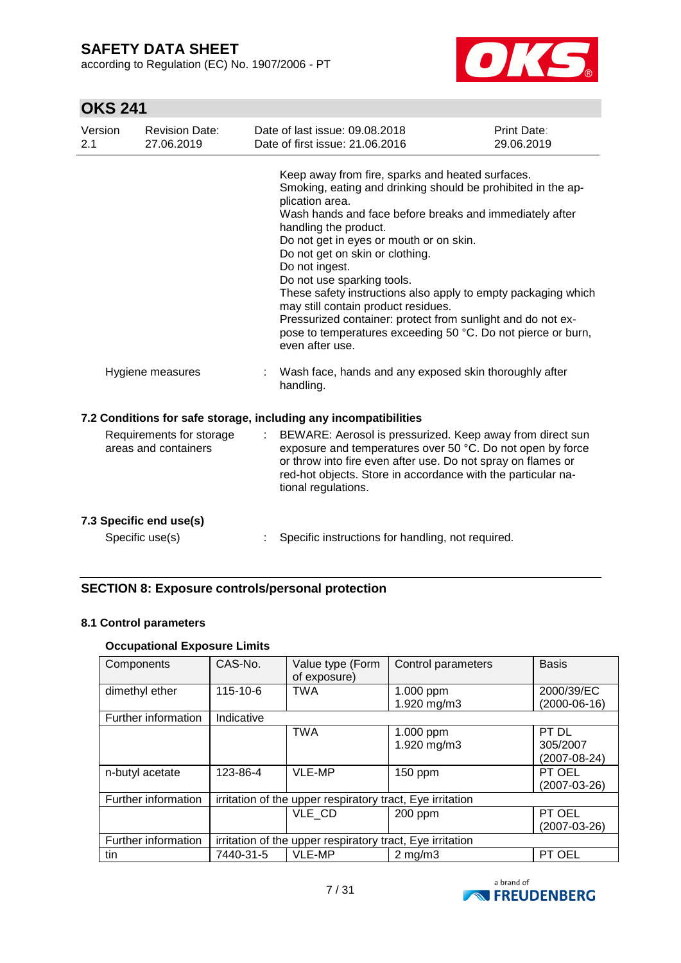according to Regulation (EC) No. 1907/2006 - PT



# **OKS 241**

| Version<br>2.1 | <b>Revision Date:</b><br>27.06.2019              | Date of last issue: 09.08.2018<br>Date of first issue: 21.06.2016                                                                                                                                                                                                                                                                                                                                                                                                                                                                                                                                               | Print Date:<br>29.06.2019 |
|----------------|--------------------------------------------------|-----------------------------------------------------------------------------------------------------------------------------------------------------------------------------------------------------------------------------------------------------------------------------------------------------------------------------------------------------------------------------------------------------------------------------------------------------------------------------------------------------------------------------------------------------------------------------------------------------------------|---------------------------|
|                |                                                  | Keep away from fire, sparks and heated surfaces.<br>Smoking, eating and drinking should be prohibited in the ap-<br>plication area.<br>Wash hands and face before breaks and immediately after<br>handling the product.<br>Do not get in eyes or mouth or on skin.<br>Do not get on skin or clothing.<br>Do not ingest.<br>Do not use sparking tools.<br>These safety instructions also apply to empty packaging which<br>may still contain product residues.<br>Pressurized container: protect from sunlight and do not ex-<br>pose to temperatures exceeding 50 °C. Do not pierce or burn,<br>even after use. |                           |
|                | Hygiene measures                                 | Wash face, hands and any exposed skin thoroughly after<br>handling.                                                                                                                                                                                                                                                                                                                                                                                                                                                                                                                                             |                           |
|                |                                                  | 7.2 Conditions for safe storage, including any incompatibilities                                                                                                                                                                                                                                                                                                                                                                                                                                                                                                                                                |                           |
|                | Requirements for storage<br>areas and containers | BEWARE: Aerosol is pressurized. Keep away from direct sun<br>exposure and temperatures over 50 °C. Do not open by force<br>or throw into fire even after use. Do not spray on flames or<br>red-hot objects. Store in accordance with the particular na-<br>tional regulations.                                                                                                                                                                                                                                                                                                                                  |                           |
|                | 7.3 Specific end use(s)                          |                                                                                                                                                                                                                                                                                                                                                                                                                                                                                                                                                                                                                 |                           |
|                | Specific use(s)                                  | Specific instructions for handling, not required.                                                                                                                                                                                                                                                                                                                                                                                                                                                                                                                                                               |                           |

### **SECTION 8: Exposure controls/personal protection**

### **8.1 Control parameters**

### **Occupational Exposure Limits**

| Components          | CAS-No.                                                   | Value type (Form<br>of exposure) | Control parameters       | <b>Basis</b>                      |
|---------------------|-----------------------------------------------------------|----------------------------------|--------------------------|-----------------------------------|
| dimethyl ether      | $115 - 10 - 6$                                            | <b>TWA</b>                       | 1.000 ppm<br>1.920 mg/m3 | 2000/39/EC<br>$(2000-06-16)$      |
| Further information | Indicative                                                |                                  |                          |                                   |
|                     |                                                           | <b>TWA</b>                       | 1.000 ppm<br>1.920 mg/m3 | PT DL<br>305/2007<br>(2007-08-24) |
| n-butyl acetate     | 123-86-4                                                  | VLE-MP                           | 150 ppm                  | PT OEL<br>(2007-03-26)            |
| Further information | irritation of the upper respiratory tract, Eye irritation |                                  |                          |                                   |
|                     |                                                           | VLE CD                           | 200 ppm                  | PT OEL<br>(2007-03-26)            |
| Further information | irritation of the upper respiratory tract, Eye irritation |                                  |                          |                                   |
| tin                 | 7440-31-5                                                 | VLE-MP                           | $2 \text{ mg/m}$         | PT OEL                            |

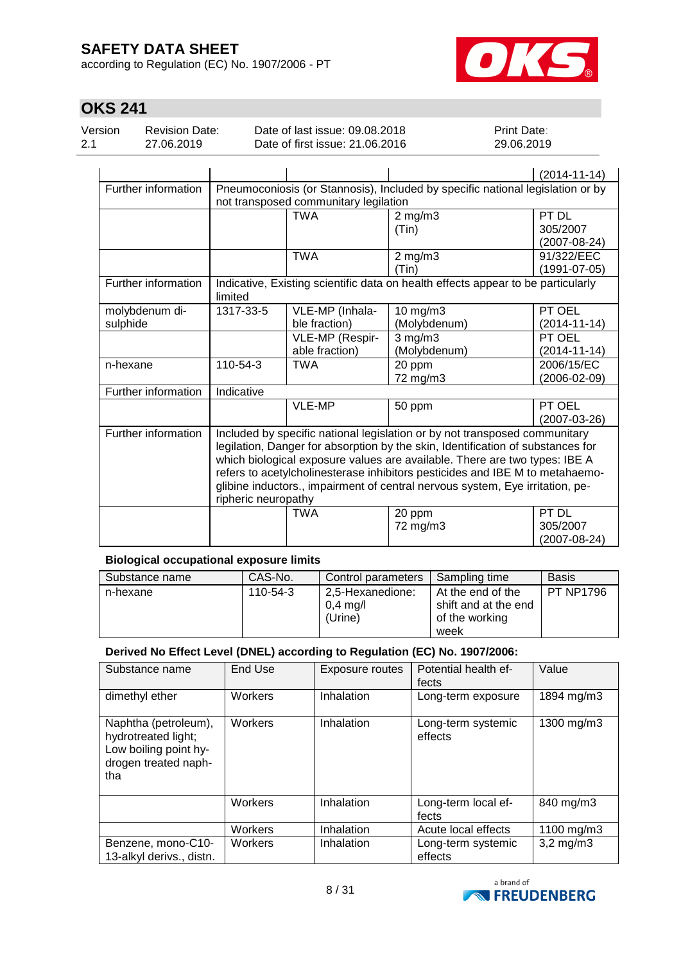according to Regulation (EC) No. 1907/2006 - PT



# **OKS 241**

| Version<br>Date of last issue: 09.08.2018<br><b>Revision Date:</b><br>Date of first issue: 21.06.2016<br>2.1<br>27.06.2019 | <b>Print Date:</b><br>29.06.2019 |
|----------------------------------------------------------------------------------------------------------------------------|----------------------------------|
|----------------------------------------------------------------------------------------------------------------------------|----------------------------------|

|                     |                                                                                |                 |                                                                                  | $(2014 - 11 - 14)$ |  |
|---------------------|--------------------------------------------------------------------------------|-----------------|----------------------------------------------------------------------------------|--------------------|--|
| Further information | Pneumoconiosis (or Stannosis), Included by specific national legislation or by |                 |                                                                                  |                    |  |
|                     | not transposed communitary legilation                                          |                 |                                                                                  |                    |  |
|                     |                                                                                | <b>TWA</b>      | $2$ mg/m $3$                                                                     | PT DL              |  |
|                     |                                                                                |                 | (Tin)                                                                            | 305/2007           |  |
|                     |                                                                                |                 |                                                                                  | $(2007 - 08 - 24)$ |  |
|                     |                                                                                | <b>TWA</b>      | $2$ mg/m $3$                                                                     | 91/322/EEC         |  |
|                     |                                                                                |                 | (Tin)                                                                            | (1991-07-05)       |  |
| Further information | limited                                                                        |                 | Indicative, Existing scientific data on health effects appear to be particularly |                    |  |
| molybdenum di-      | 1317-33-5                                                                      | VLE-MP (Inhala- | 10 mg/m3                                                                         | PT OEL             |  |
| sulphide            |                                                                                | ble fraction)   | (Molybdenum)                                                                     | $(2014 - 11 - 14)$ |  |
|                     |                                                                                | VLE-MP (Respir- | $3$ mg/m $3$                                                                     | PT OEL             |  |
|                     |                                                                                | able fraction)  | (Molybdenum)                                                                     | $(2014 - 11 - 14)$ |  |
| n-hexane            | 110-54-3                                                                       | TWA             | 20 ppm                                                                           | 2006/15/EC         |  |
|                     |                                                                                |                 | 72 mg/m3                                                                         | $(2006 - 02 - 09)$ |  |
| Further information | Indicative                                                                     |                 |                                                                                  |                    |  |
|                     |                                                                                | <b>VLE-MP</b>   | 50 ppm                                                                           | PT OEL             |  |
|                     |                                                                                |                 |                                                                                  | $(2007-03-26)$     |  |
| Further information |                                                                                |                 | Included by specific national legislation or by not transposed communitary       |                    |  |
|                     |                                                                                |                 | legilation, Danger for absorption by the skin, Identification of substances for  |                    |  |
|                     | which biological exposure values are available. There are two types: IBE A     |                 |                                                                                  |                    |  |
|                     | refers to acetylcholinesterase inhibitors pesticides and IBE M to metahaemo-   |                 |                                                                                  |                    |  |
|                     | glibine inductors., impairment of central nervous system, Eye irritation, pe-  |                 |                                                                                  |                    |  |
|                     | ripheric neuropathy                                                            |                 |                                                                                  |                    |  |
|                     |                                                                                | TWA             | 20 ppm                                                                           | PT DL              |  |
|                     |                                                                                |                 | 72 mg/m3                                                                         | 305/2007           |  |
|                     |                                                                                |                 |                                                                                  | (2007-08-24)       |  |

### **Biological occupational exposure limits**

| Substance name | CAS-No.  | Control parameters                        | Sampling time                                                       | Basis            |
|----------------|----------|-------------------------------------------|---------------------------------------------------------------------|------------------|
| n-hexane       | 110-54-3 | 2.5-Hexanedione:<br>$0.4$ mg/l<br>(Urine) | At the end of the<br>shift and at the end<br>of the working<br>week | <b>PT NP1796</b> |

### **Derived No Effect Level (DNEL) according to Regulation (EC) No. 1907/2006:**

| Substance name                                                                                      | End Use | Exposure routes | Potential health ef-<br>fects | Value          |
|-----------------------------------------------------------------------------------------------------|---------|-----------------|-------------------------------|----------------|
| dimethyl ether                                                                                      | Workers | Inhalation      | Long-term exposure            | 1894 mg/m3     |
| Naphtha (petroleum),<br>hydrotreated light;<br>Low boiling point hy-<br>drogen treated naph-<br>tha | Workers | Inhalation      | Long-term systemic<br>effects | 1300 mg/m3     |
|                                                                                                     | Workers | Inhalation      | Long-term local ef-<br>fects  | 840 mg/m3      |
|                                                                                                     | Workers | Inhalation      | Acute local effects           | 1100 mg/m3     |
| Benzene, mono-C10-<br>13-alkyl derivs., distn.                                                      | Workers | Inhalation      | Long-term systemic<br>effects | $3,2$ mg/m $3$ |

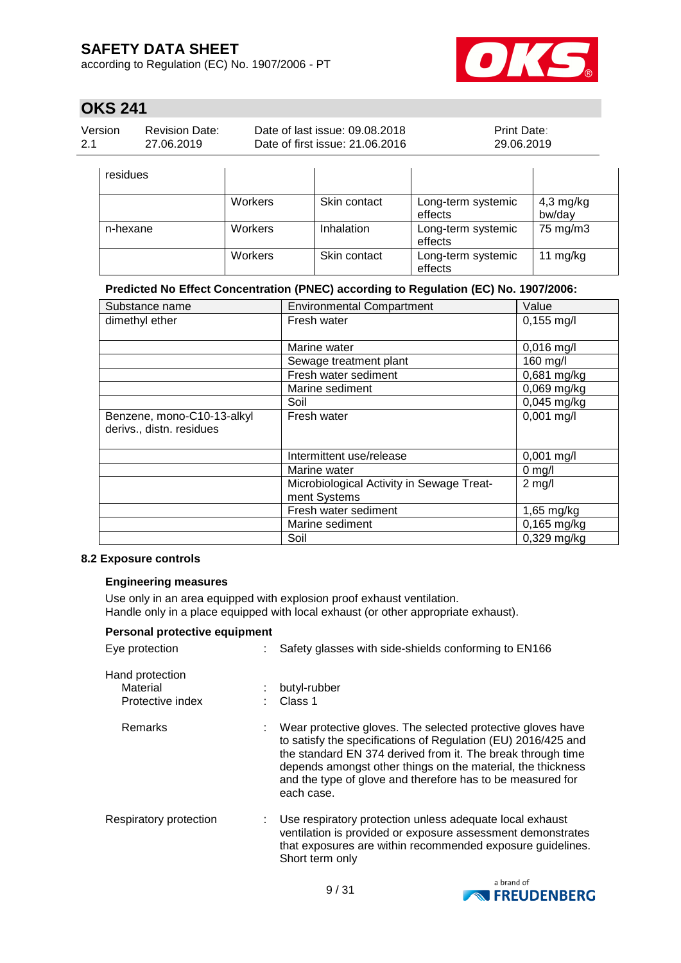according to Regulation (EC) No. 1907/2006 - PT



# **OKS 241**

| Version | <b>Revision Date:</b> | Date of last issue: 09.08.2018  | <b>Print Date:</b> |
|---------|-----------------------|---------------------------------|--------------------|
| 2.1     | 27.06.2019            | Date of first issue: 21,06,2016 | 29.06.2019         |

| residues |                |              |                               |                       |
|----------|----------------|--------------|-------------------------------|-----------------------|
|          | Workers        | Skin contact | Long-term systemic<br>effects | $4,3$ mg/kg<br>bw/day |
| n-hexane | Workers        | Inhalation   | Long-term systemic<br>effects | 75 mg/m3              |
|          | <b>Workers</b> | Skin contact | Long-term systemic<br>effects | 11 $mg/kg$            |

#### **Predicted No Effect Concentration (PNEC) according to Regulation (EC) No. 1907/2006:**

| Substance name                                         | <b>Environmental Compartment</b>                          | Value                     |
|--------------------------------------------------------|-----------------------------------------------------------|---------------------------|
| dimethyl ether                                         | Fresh water                                               | $0,155$ mg/l              |
|                                                        | Marine water                                              | $0,016$ mg/l              |
|                                                        | Sewage treatment plant                                    | 160 mg/l                  |
|                                                        | Fresh water sediment                                      | $0,681$ mg/kg             |
|                                                        | Marine sediment                                           | 0,069 mg/kg               |
|                                                        | Soil                                                      | 0,045 mg/kg               |
| Benzene, mono-C10-13-alkyl<br>derivs., distn. residues | Fresh water                                               | $0,001$ mg/l              |
|                                                        | Intermittent use/release                                  | $0,001$ mg/l              |
|                                                        | Marine water                                              | $0$ mg/l                  |
|                                                        | Microbiological Activity in Sewage Treat-<br>ment Systems | $2$ mg/l                  |
|                                                        | Fresh water sediment                                      | $1,65$ mg/kg              |
|                                                        | Marine sediment                                           | $0,165$ mg/kg             |
|                                                        | Soil                                                      | $\overline{0,}$ 329 mg/kg |

### **8.2 Exposure controls**

### **Engineering measures**

Use only in an area equipped with explosion proof exhaust ventilation. Handle only in a place equipped with local exhaust (or other appropriate exhaust).

| Personal protective equipment                   |                                                                                                                                                                                                                                                                                                                                        |
|-------------------------------------------------|----------------------------------------------------------------------------------------------------------------------------------------------------------------------------------------------------------------------------------------------------------------------------------------------------------------------------------------|
| Eye protection                                  | Safety glasses with side-shields conforming to EN166                                                                                                                                                                                                                                                                                   |
| Hand protection<br>Material<br>Protective index | butyl-rubber<br>$\therefore$ Class 1                                                                                                                                                                                                                                                                                                   |
| Remarks                                         | Wear protective gloves. The selected protective gloves have<br>to satisfy the specifications of Regulation (EU) 2016/425 and<br>the standard EN 374 derived from it. The break through time<br>depends amongst other things on the material, the thickness<br>and the type of glove and therefore has to be measured for<br>each case. |
| Respiratory protection                          | Use respiratory protection unless adequate local exhaust<br>ventilation is provided or exposure assessment demonstrates<br>that exposures are within recommended exposure guidelines.<br>Short term only                                                                                                                               |

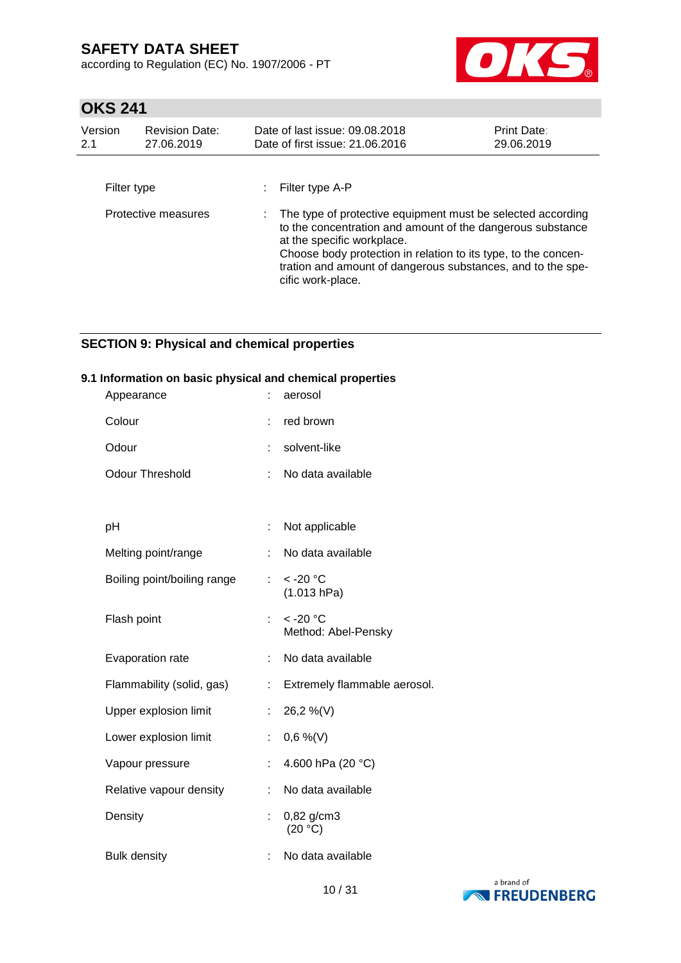according to Regulation (EC) No. 1907/2006 - PT



# **OKS 241**

| Version<br>2.1 | <b>Revision Date:</b><br>27.06.2019 | Date of last issue: 09.08.2018<br>Date of first issue: 21.06.2016                                                                                                                                                                                                                                             | Print Date:<br>29.06.2019 |
|----------------|-------------------------------------|---------------------------------------------------------------------------------------------------------------------------------------------------------------------------------------------------------------------------------------------------------------------------------------------------------------|---------------------------|
| Filter type    |                                     | Filter type A-P                                                                                                                                                                                                                                                                                               |                           |
|                | Protective measures                 | The type of protective equipment must be selected according<br>to the concentration and amount of the dangerous substance<br>at the specific workplace.<br>Choose body protection in relation to its type, to the concen-<br>tration and amount of dangerous substances, and to the spe-<br>cific work-place. |                           |

### **SECTION 9: Physical and chemical properties**

#### **9.1 Information on basic physical and chemical properties**

| Appearance                  | ÷  | aerosol                                     |
|-----------------------------|----|---------------------------------------------|
| Colour                      | t  | red brown                                   |
| Odour                       | t  | solvent-like                                |
| <b>Odour Threshold</b>      | ÷  | No data available                           |
|                             |    |                                             |
| pH                          | İ, | Not applicable                              |
| Melting point/range         | ÷  | No data available                           |
| Boiling point/boiling range |    | : $< -20$ °C<br>(1.013 hPa)                 |
| Flash point                 | ÷. | $<$ -20 $^{\circ}$ C<br>Method: Abel-Pensky |
| Evaporation rate            | ÷  | No data available                           |
| Flammability (solid, gas)   | ÷  | Extremely flammable aerosol.                |
| Upper explosion limit       | ÷. | 26,2 %(V)                                   |
| Lower explosion limit       | t  | $0,6\%$ (V)                                 |
| Vapour pressure             | Ì. | 4.600 hPa (20 °C)                           |
| Relative vapour density     | ÷  | No data available                           |
| Density                     | t. | 0,82 g/cm3<br>(20 °C)                       |
| <b>Bulk density</b>         | ÷  | No data available                           |

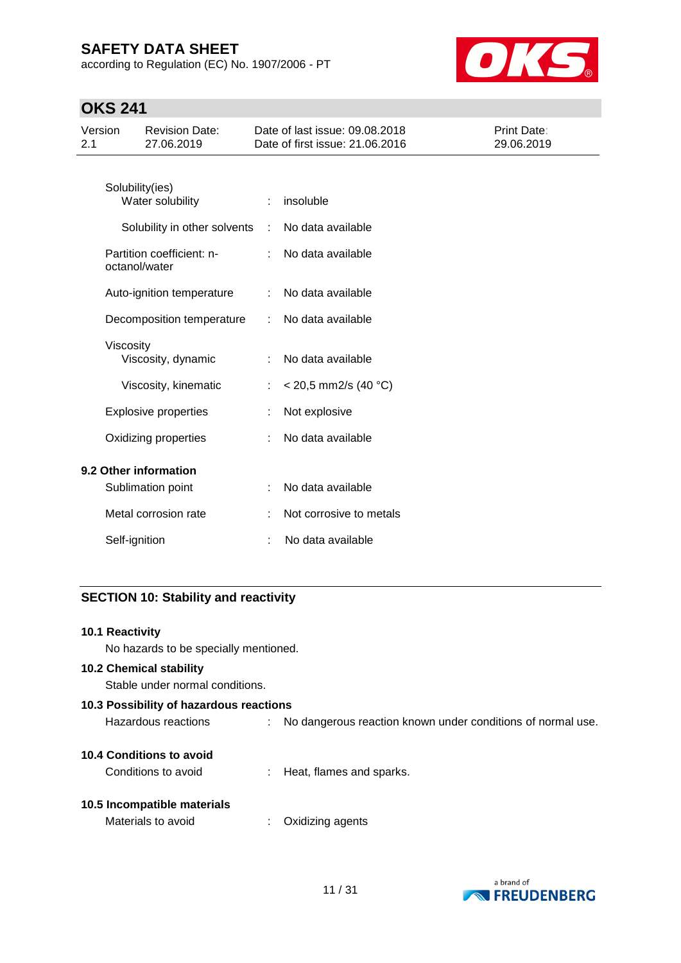according to Regulation (EC) No. 1907/2006 - PT



# **OKS 241**

| Version<br>2.1 |               | <b>Revision Date:</b><br>27.06.2019        |   | Date of last issue: 09.08.2018<br>Date of first issue: 21,06,2016 | Print Date:<br>29.06.2019 |
|----------------|---------------|--------------------------------------------|---|-------------------------------------------------------------------|---------------------------|
|                |               | Solubility(ies)<br>Water solubility        | ÷ | insoluble                                                         |                           |
|                |               | Solubility in other solvents               | ÷ | No data available                                                 |                           |
|                |               | Partition coefficient: n-<br>octanol/water |   | No data available                                                 |                           |
|                |               | Auto-ignition temperature                  | ÷ | No data available                                                 |                           |
|                |               | Decomposition temperature                  | ÷ | No data available                                                 |                           |
|                | Viscosity     | Viscosity, dynamic                         | ÷ | No data available                                                 |                           |
|                |               | Viscosity, kinematic                       |   | $<$ 20,5 mm2/s (40 °C)                                            |                           |
|                |               | <b>Explosive properties</b>                |   | Not explosive                                                     |                           |
|                |               | Oxidizing properties                       |   | No data available                                                 |                           |
|                |               | 9.2 Other information                      |   |                                                                   |                           |
|                |               | Sublimation point                          | ÷ | No data available                                                 |                           |
|                |               | Metal corrosion rate                       | ÷ | Not corrosive to metals                                           |                           |
|                | Self-ignition |                                            |   | No data available                                                 |                           |

### **SECTION 10: Stability and reactivity**

| <b>10.1 Reactivity</b><br>No hazards to be specially mentioned. |                                                               |
|-----------------------------------------------------------------|---------------------------------------------------------------|
| 10.2 Chemical stability<br>Stable under normal conditions.      |                                                               |
| 10.3 Possibility of hazardous reactions                         |                                                               |
| Hazardous reactions                                             | : No dangerous reaction known under conditions of normal use. |
| 10.4 Conditions to avoid                                        |                                                               |
| Conditions to avoid                                             | : Heat, flames and sparks.                                    |
| 10.5 Incompatible materials                                     |                                                               |
| Materials to avoid                                              | Oxidizing agents                                              |

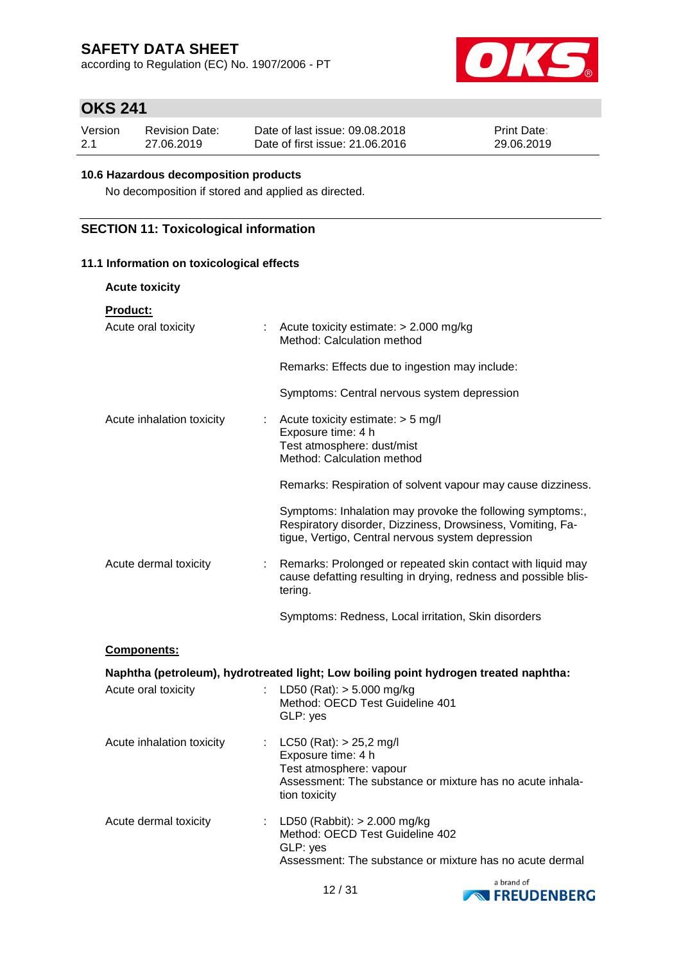according to Regulation (EC) No. 1907/2006 - PT



# **OKS 241**

| Version | <b>Revision Date:</b> | Date of last issue: 09.08.2018  | <b>Print Date:</b> |
|---------|-----------------------|---------------------------------|--------------------|
| 2.1     | 27.06.2019            | Date of first issue: 21.06.2016 | 29.06.2019         |

### **10.6 Hazardous decomposition products**

No decomposition if stored and applied as directed.

### **SECTION 11: Toxicological information**

### **11.1 Information on toxicological effects**

| <b>Acute toxicity</b>                     |                                                                                                                                                                              |
|-------------------------------------------|------------------------------------------------------------------------------------------------------------------------------------------------------------------------------|
| <b>Product:</b><br>Acute oral toxicity    | Acute toxicity estimate: > 2.000 mg/kg<br>Method: Calculation method                                                                                                         |
|                                           | Remarks: Effects due to ingestion may include:                                                                                                                               |
|                                           | Symptoms: Central nervous system depression                                                                                                                                  |
| Acute inhalation toxicity<br>÷            | Acute toxicity estimate: > 5 mg/l<br>Exposure time: 4 h<br>Test atmosphere: dust/mist<br>Method: Calculation method                                                          |
|                                           | Remarks: Respiration of solvent vapour may cause dizziness.                                                                                                                  |
|                                           | Symptoms: Inhalation may provoke the following symptoms:,<br>Respiratory disorder, Dizziness, Drowsiness, Vomiting, Fa-<br>tigue, Vertigo, Central nervous system depression |
| Acute dermal toxicity<br>t.               | Remarks: Prolonged or repeated skin contact with liquid may<br>cause defatting resulting in drying, redness and possible blis-<br>tering.                                    |
|                                           | Symptoms: Redness, Local irritation, Skin disorders                                                                                                                          |
| Components:                               |                                                                                                                                                                              |
|                                           | Naphtha (petroleum), hydrotreated light; Low boiling point hydrogen treated naphtha:                                                                                         |
| Acute oral toxicity<br>t.                 | LD50 (Rat): $> 5.000$ mg/kg<br>Method: OECD Test Guideline 401<br>GLP: yes                                                                                                   |
| Acute inhalation toxicity                 | : $LC50 (Rat): > 25,2$ mg/l<br>Exposure time: 4 h<br>Test atmosphere: vapour<br>Assessment: The substance or mixture has no acute inhala-<br>tion toxicity                   |
| Acute dermal toxicity<br>$\mathbb{Z}^n$ . | LD50 (Rabbit): $> 2.000$ mg/kg<br>Method: OECD Test Guideline 402<br>GLP: yes<br>Assessment: The substance or mixture has no acute dermal                                    |

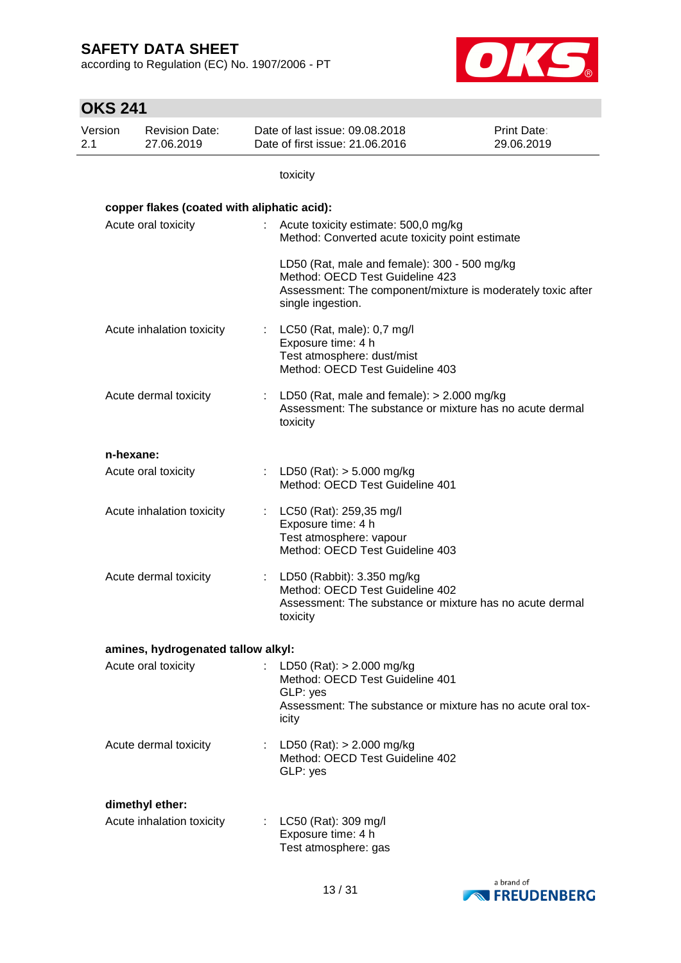according to Regulation (EC) No. 1907/2006 - PT



| <b>OKS 241</b> |                                                           |    |                                                                                                                                                                     |                                  |
|----------------|-----------------------------------------------------------|----|---------------------------------------------------------------------------------------------------------------------------------------------------------------------|----------------------------------|
| Version<br>2.1 | <b>Revision Date:</b><br>27.06.2019                       |    | Date of last issue: 09.08.2018<br>Date of first issue: 21.06.2016                                                                                                   | <b>Print Date:</b><br>29.06.2019 |
|                |                                                           |    | toxicity                                                                                                                                                            |                                  |
|                | copper flakes (coated with aliphatic acid):               |    |                                                                                                                                                                     |                                  |
|                | Acute oral toxicity                                       |    | : Acute toxicity estimate: 500,0 mg/kg<br>Method: Converted acute toxicity point estimate                                                                           |                                  |
|                |                                                           |    | LD50 (Rat, male and female): 300 - 500 mg/kg<br>Method: OECD Test Guideline 423<br>Assessment: The component/mixture is moderately toxic after<br>single ingestion. |                                  |
|                | Acute inhalation toxicity                                 | ÷. | LC50 (Rat, male): 0,7 mg/l<br>Exposure time: 4 h<br>Test atmosphere: dust/mist<br>Method: OECD Test Guideline 403                                                   |                                  |
|                | Acute dermal toxicity                                     |    | : LD50 (Rat, male and female): $> 2.000$ mg/kg<br>Assessment: The substance or mixture has no acute dermal<br>toxicity                                              |                                  |
|                | n-hexane:                                                 |    |                                                                                                                                                                     |                                  |
|                | Acute oral toxicity                                       |    | : LD50 (Rat): $>$ 5.000 mg/kg<br>Method: OECD Test Guideline 401                                                                                                    |                                  |
|                | Acute inhalation toxicity                                 |    | LC50 (Rat): 259,35 mg/l<br>Exposure time: 4 h<br>Test atmosphere: vapour<br>Method: OECD Test Guideline 403                                                         |                                  |
|                | Acute dermal toxicity                                     |    | : LD50 (Rabbit): 3.350 mg/kg<br>Method: OECD Test Guideline 402<br>Assessment: The substance or mixture has no acute dermal<br>toxicity                             |                                  |
|                |                                                           |    |                                                                                                                                                                     |                                  |
|                | amines, hydrogenated tallow alkyl:<br>Acute oral toxicity |    | : LD50 (Rat): $> 2.000$ mg/kg<br>Method: OECD Test Guideline 401<br>GLP: yes<br>Assessment: The substance or mixture has no acute oral tox-                         |                                  |
|                |                                                           |    | icity                                                                                                                                                               |                                  |
|                | Acute dermal toxicity                                     |    | : LD50 (Rat): $> 2.000$ mg/kg<br>Method: OECD Test Guideline 402<br>GLP: yes                                                                                        |                                  |
|                | dimethyl ether:                                           |    |                                                                                                                                                                     |                                  |
|                | Acute inhalation toxicity                                 |    | : LC50 (Rat): 309 mg/l<br>Exposure time: 4 h<br>Test atmosphere: gas                                                                                                |                                  |

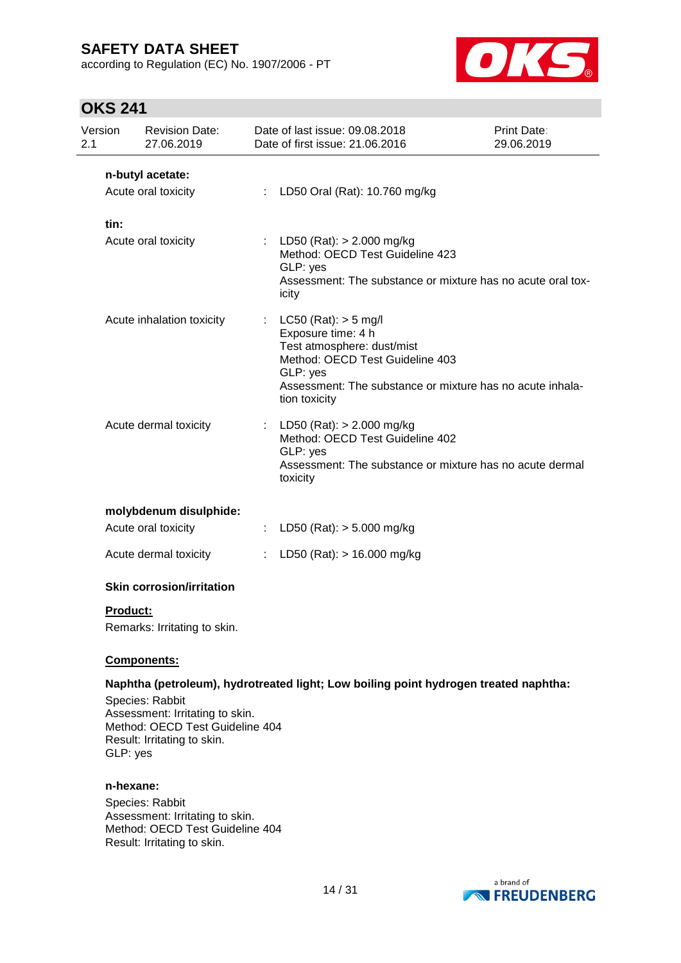according to Regulation (EC) No. 1907/2006 - PT



# **OKS 241**

| Version<br>2.1  | <b>Revision Date:</b><br>27.06.2019                                                                                  |                  | Date of last issue: 09.08.2018<br>Date of first issue: 21.06.2016                                                                                                                                       | Print Date:<br>29.06.2019 |
|-----------------|----------------------------------------------------------------------------------------------------------------------|------------------|---------------------------------------------------------------------------------------------------------------------------------------------------------------------------------------------------------|---------------------------|
|                 | n-butyl acetate:<br>Acute oral toxicity                                                                              | ÷.               | LD50 Oral (Rat): 10.760 mg/kg                                                                                                                                                                           |                           |
| tin:            | Acute oral toxicity                                                                                                  |                  | : LD50 (Rat): $> 2.000$ mg/kg<br>Method: OECD Test Guideline 423<br>GLP: yes<br>Assessment: The substance or mixture has no acute oral tox-<br>icity                                                    |                           |
|                 | Acute inhalation toxicity                                                                                            | ÷                | LC50 (Rat): $>$ 5 mg/l<br>Exposure time: 4 h<br>Test atmosphere: dust/mist<br>Method: OECD Test Guideline 403<br>GLP: yes<br>Assessment: The substance or mixture has no acute inhala-<br>tion toxicity |                           |
|                 | Acute dermal toxicity                                                                                                |                  | : LD50 (Rat): $> 2.000$ mg/kg<br>Method: OECD Test Guideline 402<br>GLP: yes<br>Assessment: The substance or mixture has no acute dermal<br>toxicity                                                    |                           |
|                 | molybdenum disulphide:                                                                                               |                  |                                                                                                                                                                                                         |                           |
|                 | Acute oral toxicity                                                                                                  | $\mathbb{Z}^n$ . | LD50 (Rat): $>$ 5.000 mg/kg                                                                                                                                                                             |                           |
|                 | Acute dermal toxicity                                                                                                | ÷.               | LD50 (Rat): $> 16.000$ mg/kg                                                                                                                                                                            |                           |
|                 | <b>Skin corrosion/irritation</b>                                                                                     |                  |                                                                                                                                                                                                         |                           |
| <b>Product:</b> | Remarks: Irritating to skin.                                                                                         |                  |                                                                                                                                                                                                         |                           |
|                 | <b>Components:</b>                                                                                                   |                  |                                                                                                                                                                                                         |                           |
| GLP: yes        | Species: Rabbit<br>Assessment: Irritating to skin.<br>Method: OECD Test Guideline 404<br>Result: Irritating to skin. |                  | Naphtha (petroleum), hydrotreated light; Low boiling point hydrogen treated naphtha:                                                                                                                    |                           |

#### **n-hexane:**

Species: Rabbit Assessment: Irritating to skin. Method: OECD Test Guideline 404 Result: Irritating to skin.

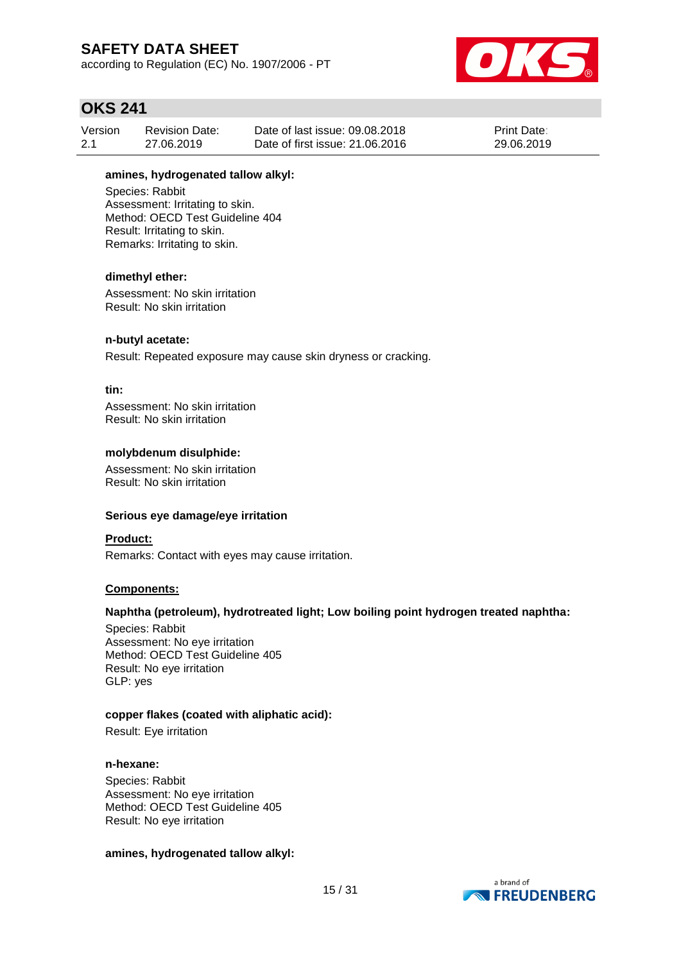according to Regulation (EC) No. 1907/2006 - PT



### **OKS 241**

| Version | Revision Date: | Date of last issue: 09.08.2018  | <b>Print Date:</b> |
|---------|----------------|---------------------------------|--------------------|
| 2.1     | 27.06.2019     | Date of first issue: 21,06,2016 | 29.06.2019         |

### **amines, hydrogenated tallow alkyl:**

Species: Rabbit Assessment: Irritating to skin. Method: OECD Test Guideline 404 Result: Irritating to skin. Remarks: Irritating to skin.

#### **dimethyl ether:**

Assessment: No skin irritation Result: No skin irritation

#### **n-butyl acetate:**

Result: Repeated exposure may cause skin dryness or cracking.

#### **tin:**

Assessment: No skin irritation Result: No skin irritation

#### **molybdenum disulphide:**

Assessment: No skin irritation Result: No skin irritation

#### **Serious eye damage/eye irritation**

#### **Product:**

Remarks: Contact with eyes may cause irritation.

### **Components:**

#### **Naphtha (petroleum), hydrotreated light; Low boiling point hydrogen treated naphtha:**

Species: Rabbit Assessment: No eye irritation Method: OECD Test Guideline 405 Result: No eye irritation GLP: yes

#### **copper flakes (coated with aliphatic acid):**

Result: Eye irritation

#### **n-hexane:**

Species: Rabbit Assessment: No eye irritation Method: OECD Test Guideline 405 Result: No eye irritation

#### **amines, hydrogenated tallow alkyl:**

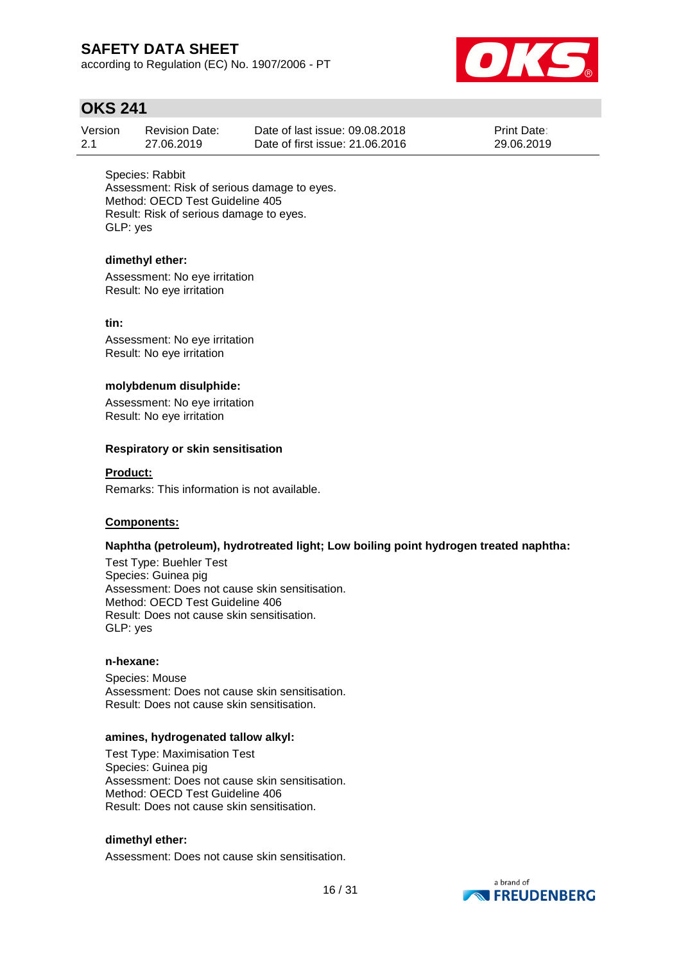according to Regulation (EC) No. 1907/2006 - PT



### **OKS 241**

| Version | Revision Date: | Date of last issue: 09.08.2018  | <b>Print Date:</b> |
|---------|----------------|---------------------------------|--------------------|
| -2.1    | 27.06.2019     | Date of first issue: 21,06,2016 | 29.06.2019         |

Species: Rabbit Assessment: Risk of serious damage to eyes. Method: OECD Test Guideline 405 Result: Risk of serious damage to eyes. GLP: yes

### **dimethyl ether:**

Assessment: No eye irritation Result: No eye irritation

### **tin:**

Assessment: No eye irritation Result: No eye irritation

### **molybdenum disulphide:**

Assessment: No eye irritation Result: No eye irritation

#### **Respiratory or skin sensitisation**

#### **Product:**

Remarks: This information is not available.

### **Components:**

### **Naphtha (petroleum), hydrotreated light; Low boiling point hydrogen treated naphtha:**

Test Type: Buehler Test Species: Guinea pig Assessment: Does not cause skin sensitisation. Method: OECD Test Guideline 406 Result: Does not cause skin sensitisation. GLP: yes

#### **n-hexane:**

Species: Mouse Assessment: Does not cause skin sensitisation. Result: Does not cause skin sensitisation.

#### **amines, hydrogenated tallow alkyl:**

Test Type: Maximisation Test Species: Guinea pig Assessment: Does not cause skin sensitisation. Method: OECD Test Guideline 406 Result: Does not cause skin sensitisation.

### **dimethyl ether:**

Assessment: Does not cause skin sensitisation.

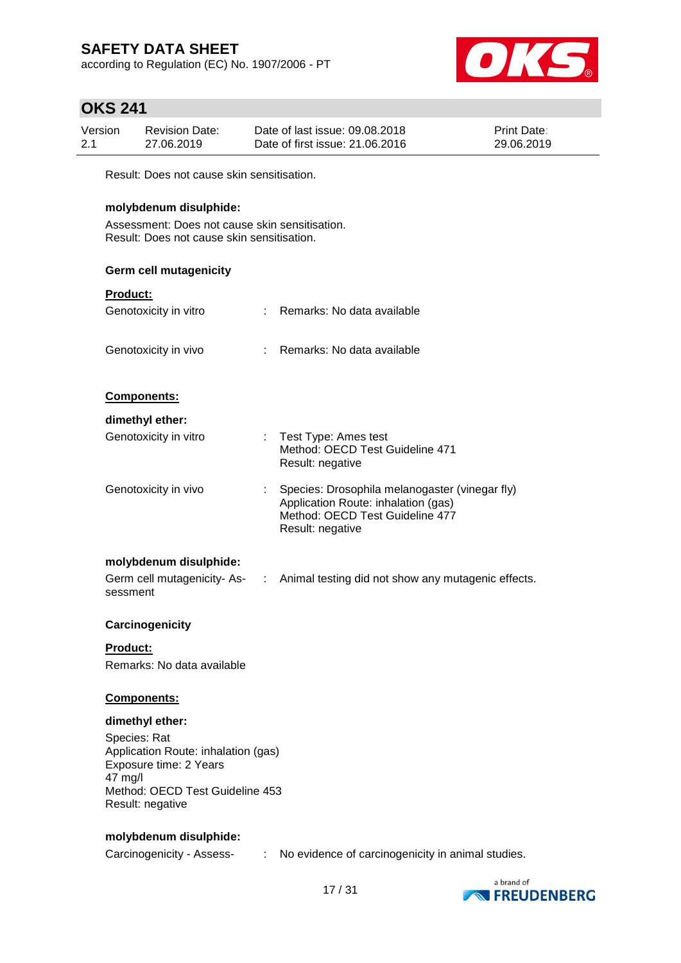according to Regulation (EC) No. 1907/2006 - PT



### **OKS 241**

| Version | <b>Revision Date:</b> | Date of last issue: 09.08.2018  | <b>Print Date:</b> |
|---------|-----------------------|---------------------------------|--------------------|
| 2.1     | 27.06.2019            | Date of first issue: 21,06,2016 | 29.06.2019         |

Result: Does not cause skin sensitisation.

### **molybdenum disulphide:**

Assessment: Does not cause skin sensitisation. Result: Does not cause skin sensitisation.

### **Germ cell mutagenicity**

| <b>Product:</b>             |                       |                                                                                       |
|-----------------------------|-----------------------|---------------------------------------------------------------------------------------|
| Genotoxicity in vitro       |                       | Remarks: No data available                                                            |
|                             |                       |                                                                                       |
| Genotoxicity in vivo        |                       | Remarks: No data available                                                            |
|                             |                       |                                                                                       |
| <b>Components:</b>          |                       |                                                                                       |
| dimethyl ether:             |                       |                                                                                       |
| Genotoxicity in vitro       | ÷                     | Test Type: Ames test                                                                  |
|                             |                       | Method: OECD Test Guideline 471<br>Result: negative                                   |
|                             |                       |                                                                                       |
| Genotoxicity in vivo        |                       | Species: Drosophila melanogaster (vinegar fly)<br>Application Route: inhalation (gas) |
|                             |                       | Method: OECD Test Guideline 477                                                       |
|                             |                       | Result: negative                                                                      |
| molybdenum disulphide:      |                       |                                                                                       |
| Germ cell mutagenicity- As- | $\mathbb{C}^{\times}$ | Animal testing did not show any mutagenic effects.                                    |
| sessment                    |                       |                                                                                       |
| Carcinogenicity             |                       |                                                                                       |
|                             |                       |                                                                                       |

**Product:** Remarks: No data available

### **Components:**

### **dimethyl ether:**

Species: Rat Application Route: inhalation (gas) Exposure time: 2 Years 47 mg/l Method: OECD Test Guideline 453 Result: negative

### **molybdenum disulphide:**

Carcinogenicity - Assess- : No evidence of carcinogenicity in animal studies.

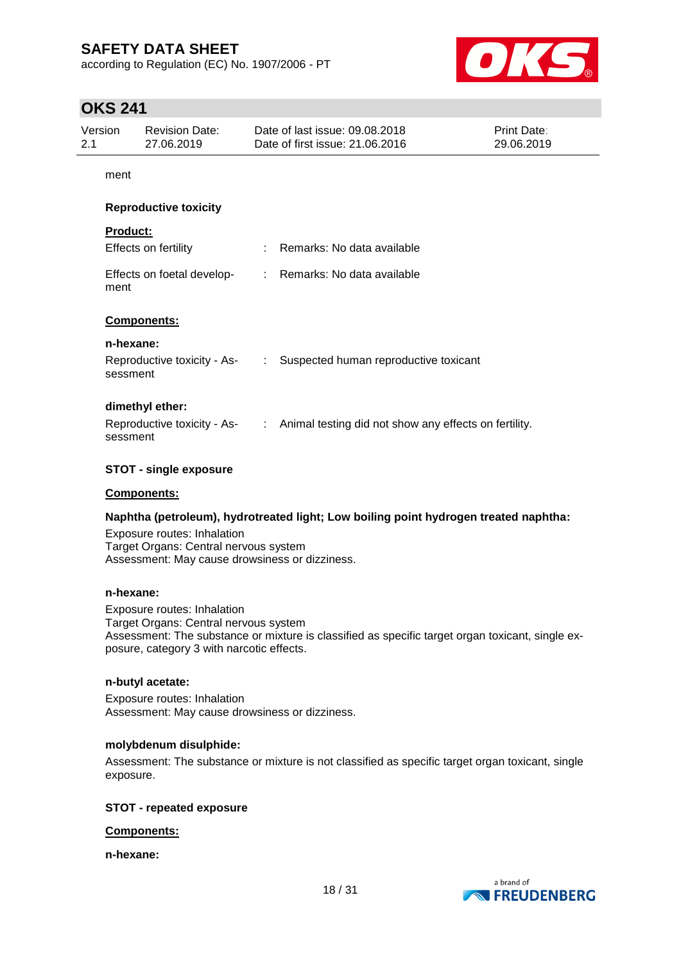according to Regulation (EC) No. 1907/2006 - PT



### **OKS 241**

| Version<br><b>Revision Date:</b><br>27.06.2019<br>2.1 |                                                    |                | Date of last issue: 09.08.2018<br>Date of first issue: 21.06.2016                   | Print Date:<br>29.06.2019 |
|-------------------------------------------------------|----------------------------------------------------|----------------|-------------------------------------------------------------------------------------|---------------------------|
| ment                                                  |                                                    |                |                                                                                     |                           |
|                                                       | <b>Reproductive toxicity</b>                       |                |                                                                                     |                           |
| <b>Product:</b><br>ment                               | Effects on fertility<br>Effects on foetal develop- |                | : Remarks: No data available<br>: Remarks: No data available                        |                           |
| n-hexane:                                             | Components:                                        |                |                                                                                     |                           |
| sessment                                              | Reproductive toxicity - As-                        | $\mathbb{R}^n$ | Suspected human reproductive toxicant                                               |                           |
| sessment                                              | dimethyl ether:                                    |                | Reproductive toxicity - As- : Animal testing did not show any effects on fertility. |                           |
|                                                       | <b>STOT - single exposure</b>                      |                |                                                                                     |                           |

#### **Components:**

#### **Naphtha (petroleum), hydrotreated light; Low boiling point hydrogen treated naphtha:**

Exposure routes: Inhalation Target Organs: Central nervous system Assessment: May cause drowsiness or dizziness.

#### **n-hexane:**

Exposure routes: Inhalation Target Organs: Central nervous system Assessment: The substance or mixture is classified as specific target organ toxicant, single exposure, category 3 with narcotic effects.

#### **n-butyl acetate:**

Exposure routes: Inhalation Assessment: May cause drowsiness or dizziness.

#### **molybdenum disulphide:**

Assessment: The substance or mixture is not classified as specific target organ toxicant, single exposure.

#### **STOT - repeated exposure**

#### **Components:**

**n-hexane:**

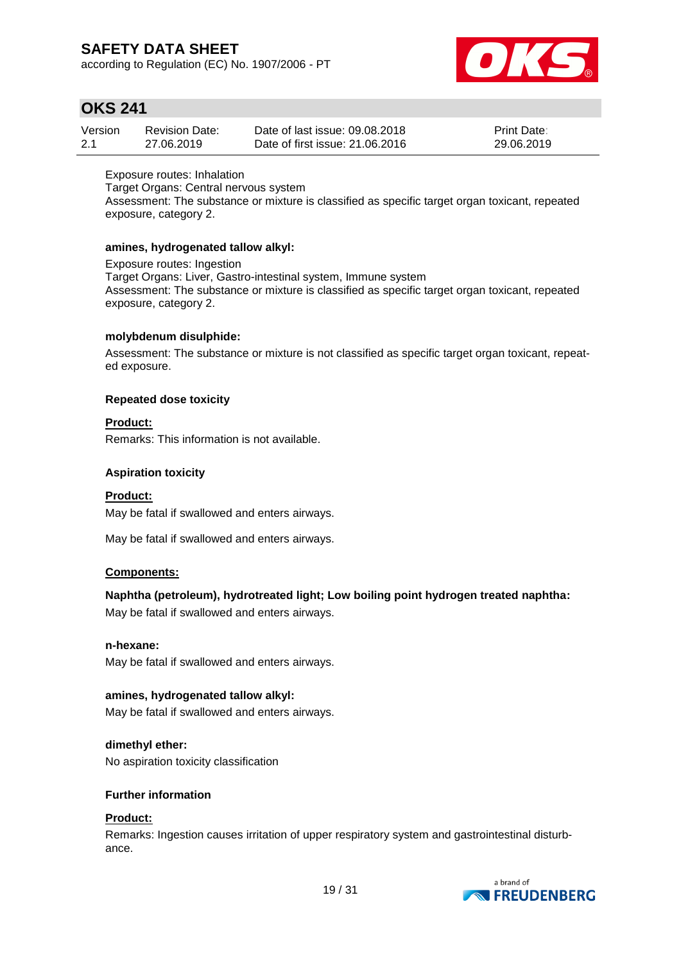according to Regulation (EC) No. 1907/2006 - PT



### **OKS 241**

| Version | <b>Revision Date:</b> | Date of last issue: 09.08.2018  | <b>Print Date:</b> |
|---------|-----------------------|---------------------------------|--------------------|
| 2.1     | 27.06.2019            | Date of first issue: 21,06,2016 | 29.06.2019         |

Exposure routes: Inhalation Target Organs: Central nervous system Assessment: The substance or mixture is classified as specific target organ toxicant, repeated exposure, category 2.

### **amines, hydrogenated tallow alkyl:**

Exposure routes: Ingestion Target Organs: Liver, Gastro-intestinal system, Immune system Assessment: The substance or mixture is classified as specific target organ toxicant, repeated exposure, category 2.

### **molybdenum disulphide:**

Assessment: The substance or mixture is not classified as specific target organ toxicant, repeated exposure.

### **Repeated dose toxicity**

### **Product:**

Remarks: This information is not available.

### **Aspiration toxicity**

### **Product:**

May be fatal if swallowed and enters airways.

May be fatal if swallowed and enters airways.

### **Components:**

### **Naphtha (petroleum), hydrotreated light; Low boiling point hydrogen treated naphtha:**

May be fatal if swallowed and enters airways.

### **n-hexane:**

May be fatal if swallowed and enters airways.

### **amines, hydrogenated tallow alkyl:**

May be fatal if swallowed and enters airways.

### **dimethyl ether:**

No aspiration toxicity classification

### **Further information**

### **Product:**

Remarks: Ingestion causes irritation of upper respiratory system and gastrointestinal disturbance.

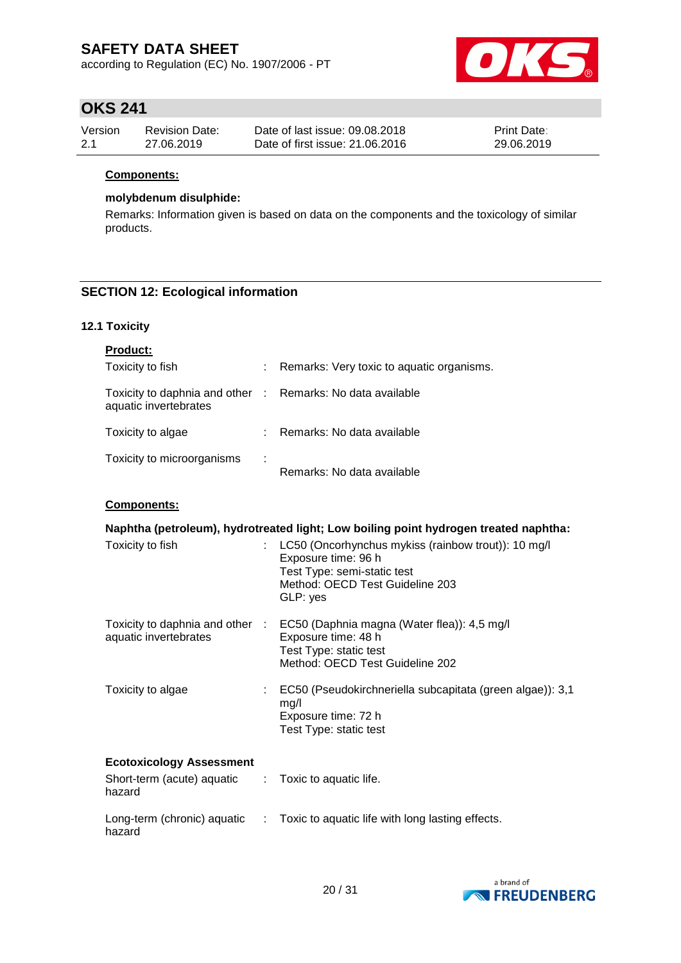according to Regulation (EC) No. 1907/2006 - PT



# **OKS 241**

| Version | Revision Date: | Date of last issue: 09.08.2018  | <b>Print Date:</b> |
|---------|----------------|---------------------------------|--------------------|
| 2.1     | 27.06.2019     | Date of first issue: 21,06,2016 | 29.06.2019         |

### **Components:**

#### **molybdenum disulphide:**

Remarks: Information given is based on data on the components and the toxicology of similar products.

### **SECTION 12: Ecological information**

### **12.1 Toxicity**

| <b>Product:</b>                                                                     |   |                                           |
|-------------------------------------------------------------------------------------|---|-------------------------------------------|
| Toxicity to fish                                                                    |   | Remarks: Very toxic to aquatic organisms. |
| Toxicity to daphnia and other : Remarks: No data available<br>aquatic invertebrates |   |                                           |
| Toxicity to algae                                                                   |   | Remarks: No data available                |
| Toxicity to microorganisms                                                          | ÷ | Remarks: No data available                |

### **Components:**

| Naphtha (petroleum), hydrotreated light; Low boiling point hydrogen treated naphtha: |  |                                                                                                                                                          |  |  |  |
|--------------------------------------------------------------------------------------|--|----------------------------------------------------------------------------------------------------------------------------------------------------------|--|--|--|
| Toxicity to fish                                                                     |  | LC50 (Oncorhynchus mykiss (rainbow trout)): 10 mg/l<br>Exposure time: 96 h<br>Test Type: semi-static test<br>Method: OECD Test Guideline 203<br>GLP: yes |  |  |  |
| Toxicity to daphnia and other :<br>aquatic invertebrates                             |  | EC50 (Daphnia magna (Water flea)): 4,5 mg/l<br>Exposure time: 48 h<br>Test Type: static test<br>Method: OECD Test Guideline 202                          |  |  |  |
| Toxicity to algae                                                                    |  | EC50 (Pseudokirchneriella subcapitata (green algae)): 3,1<br>mg/l<br>Exposure time: 72 h<br>Test Type: static test                                       |  |  |  |
| <b>Ecotoxicology Assessment</b>                                                      |  |                                                                                                                                                          |  |  |  |
| Short-term (acute) aquatic : Toxic to aquatic life.<br>hazard                        |  |                                                                                                                                                          |  |  |  |
| Long-term (chronic) aquatic :<br>hazard                                              |  | Toxic to aquatic life with long lasting effects.                                                                                                         |  |  |  |

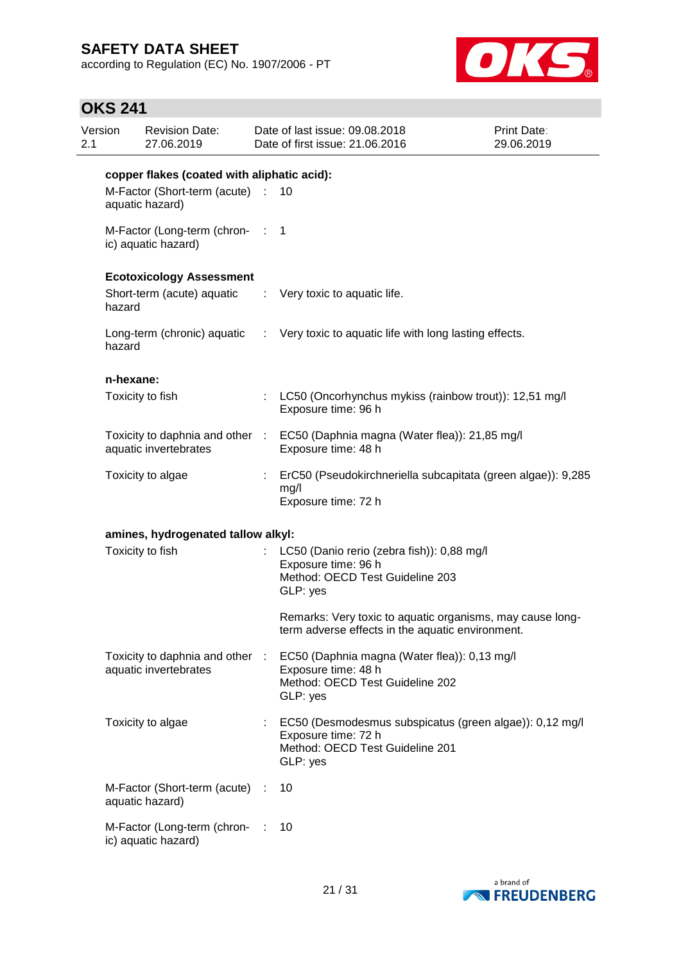according to Regulation (EC) No. 1907/2006 - PT



# **OKS 241**

| 2.1 | Version<br><b>Revision Date:</b><br>27.06.2019 |                                                          |   | Date of last issue: 09.08.2018<br>Date of first issue: 21.06.2016                                                             | Print Date:<br>29.06.2019 |  |  |  |
|-----|------------------------------------------------|----------------------------------------------------------|---|-------------------------------------------------------------------------------------------------------------------------------|---------------------------|--|--|--|
|     | copper flakes (coated with aliphatic acid):    |                                                          |   |                                                                                                                               |                           |  |  |  |
|     |                                                | M-Factor (Short-term (acute) :<br>aquatic hazard)        |   | 10                                                                                                                            |                           |  |  |  |
|     |                                                | M-Factor (Long-term (chron- : 1<br>ic) aquatic hazard)   |   |                                                                                                                               |                           |  |  |  |
|     |                                                | <b>Ecotoxicology Assessment</b>                          |   |                                                                                                                               |                           |  |  |  |
|     | hazard                                         | Short-term (acute) aquatic                               |   | : Very toxic to aquatic life.                                                                                                 |                           |  |  |  |
|     | hazard                                         |                                                          |   | Long-term (chronic) aquatic : Very toxic to aquatic life with long lasting effects.                                           |                           |  |  |  |
|     | n-hexane:                                      |                                                          |   |                                                                                                                               |                           |  |  |  |
|     |                                                | Toxicity to fish                                         |   | : LC50 (Oncorhynchus mykiss (rainbow trout)): 12,51 mg/l<br>Exposure time: 96 h                                               |                           |  |  |  |
|     |                                                | aquatic invertebrates                                    |   | Toxicity to daphnia and other : EC50 (Daphnia magna (Water flea)): 21,85 mg/l<br>Exposure time: 48 h                          |                           |  |  |  |
|     |                                                | Toxicity to algae                                        | ÷ | ErC50 (Pseudokirchneriella subcapitata (green algae)): 9,285<br>mg/l<br>Exposure time: 72 h                                   |                           |  |  |  |
|     |                                                | amines, hydrogenated tallow alkyl:                       |   |                                                                                                                               |                           |  |  |  |
|     |                                                | Toxicity to fish                                         |   | LC50 (Danio rerio (zebra fish)): 0,88 mg/l<br>Exposure time: 96 h<br>Method: OECD Test Guideline 203<br>GLP: yes              |                           |  |  |  |
|     |                                                |                                                          |   | Remarks: Very toxic to aquatic organisms, may cause long-<br>term adverse effects in the aquatic environment.                 |                           |  |  |  |
|     |                                                | Toxicity to daphnia and other :<br>aquatic invertebrates |   | EC50 (Daphnia magna (Water flea)): 0,13 mg/l<br>Exposure time: 48 h<br>Method: OECD Test Guideline 202<br>GLP: yes            |                           |  |  |  |
|     |                                                | Toxicity to algae                                        |   | EC50 (Desmodesmus subspicatus (green algae)): 0,12 mg/l<br>Exposure time: 72 h<br>Method: OECD Test Guideline 201<br>GLP: yes |                           |  |  |  |
|     |                                                | M-Factor (Short-term (acute) :<br>aquatic hazard)        |   | 10                                                                                                                            |                           |  |  |  |
|     |                                                | M-Factor (Long-term (chron-<br>ic) aquatic hazard)       |   | 10                                                                                                                            |                           |  |  |  |

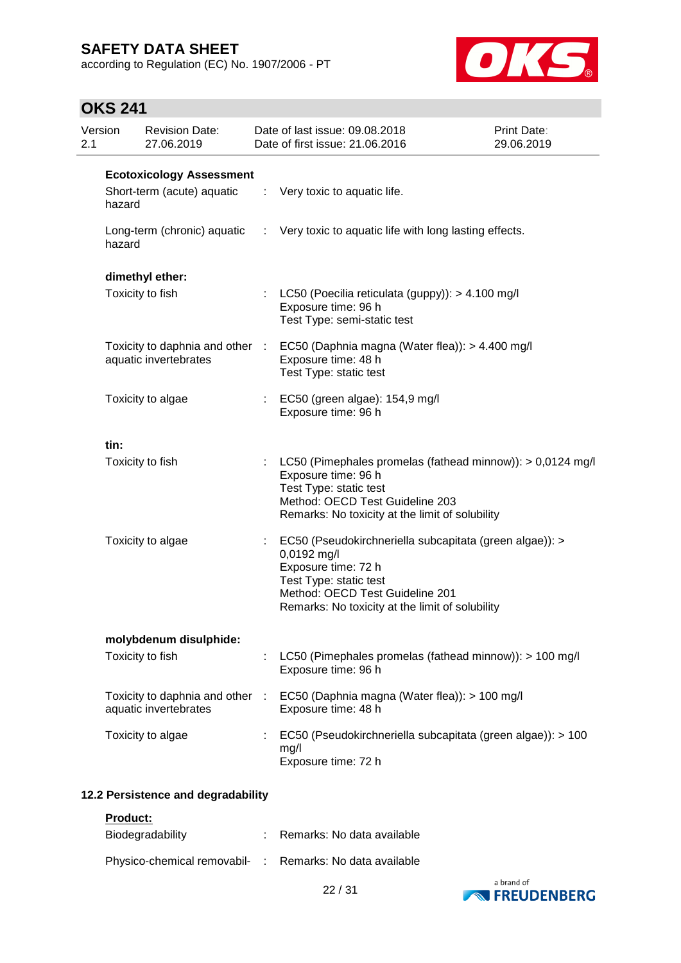according to Regulation (EC) No. 1907/2006 - PT



# **OKS 241**

| Version<br>2.1 |        | <b>Revision Date:</b><br>27.06.2019                      | Date of last issue: 09.08.2018<br>Date of first issue: 21.06.2016                                                                                                                                             | Print Date:<br>29.06.2019 |
|----------------|--------|----------------------------------------------------------|---------------------------------------------------------------------------------------------------------------------------------------------------------------------------------------------------------------|---------------------------|
|                |        | <b>Ecotoxicology Assessment</b>                          |                                                                                                                                                                                                               |                           |
|                | hazard | Short-term (acute) aquatic                               | $\therefore$ Very toxic to aquatic life.                                                                                                                                                                      |                           |
|                | hazard | Long-term (chronic) aquatic                              | : Very toxic to aquatic life with long lasting effects.                                                                                                                                                       |                           |
|                |        | dimethyl ether:                                          |                                                                                                                                                                                                               |                           |
|                |        | Toxicity to fish                                         | : LC50 (Poecilia reticulata (guppy)): > 4.100 mg/l<br>Exposure time: 96 h<br>Test Type: semi-static test                                                                                                      |                           |
|                |        | aquatic invertebrates                                    | Toxicity to daphnia and other : EC50 (Daphnia magna (Water flea)): > 4.400 mg/l<br>Exposure time: 48 h<br>Test Type: static test                                                                              |                           |
|                |        | Toxicity to algae                                        | : EC50 (green algae): 154,9 mg/l<br>Exposure time: 96 h                                                                                                                                                       |                           |
|                | tin:   |                                                          |                                                                                                                                                                                                               |                           |
|                |        | Toxicity to fish                                         | : LC50 (Pimephales promelas (fathead minnow)): $> 0.0124$ mg/l<br>Exposure time: 96 h<br>Test Type: static test<br>Method: OECD Test Guideline 203<br>Remarks: No toxicity at the limit of solubility         |                           |
|                |        | Toxicity to algae                                        | EC50 (Pseudokirchneriella subcapitata (green algae)): ><br>0,0192 mg/l<br>Exposure time: 72 h<br>Test Type: static test<br>Method: OECD Test Guideline 201<br>Remarks: No toxicity at the limit of solubility |                           |
|                |        | molybdenum disulphide:                                   |                                                                                                                                                                                                               |                           |
|                |        | Toxicity to fish                                         | LC50 (Pimephales promelas (fathead minnow)): > 100 mg/l<br>Exposure time: 96 h                                                                                                                                |                           |
|                |        | Toxicity to daphnia and other :<br>aquatic invertebrates | EC50 (Daphnia magna (Water flea)): > 100 mg/l<br>Exposure time: 48 h                                                                                                                                          |                           |
|                |        | Toxicity to algae                                        | EC50 (Pseudokirchneriella subcapitata (green algae)): > 100<br>mg/l<br>Exposure time: 72 h                                                                                                                    |                           |

### **12.2 Persistence and degradability**

**Product:**

| Biodegradability                                         | : Remarks: No data available |
|----------------------------------------------------------|------------------------------|
| Physico-chemical removabil- : Remarks: No data available |                              |

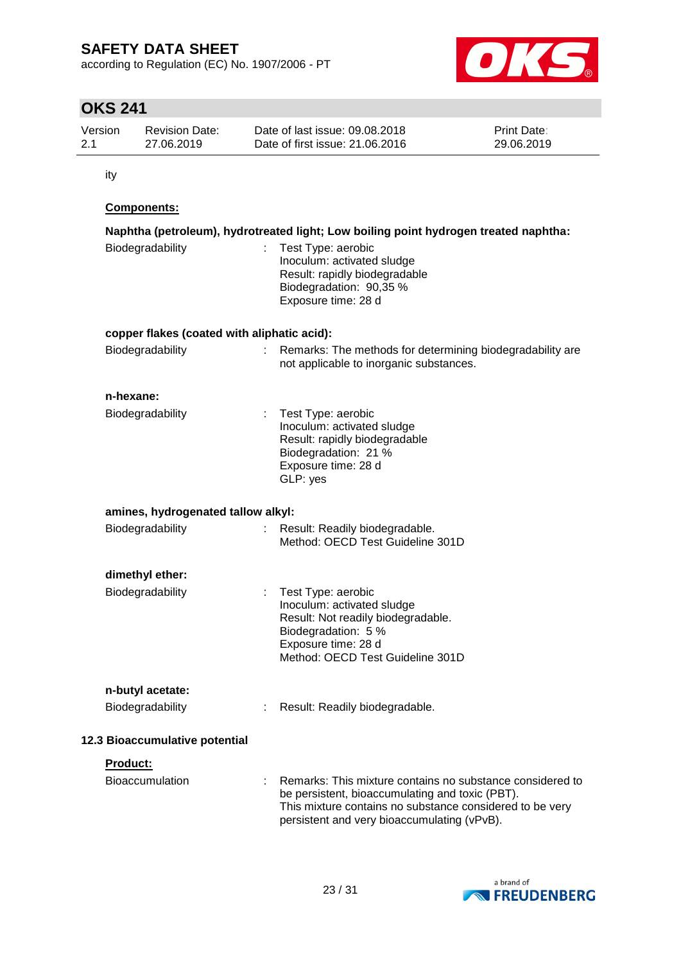according to Regulation (EC) No. 1907/2006 - PT



# **OKS 241**

| Version | <b>Revision Date:</b> | Date of last issue: 09.08.2018  | <b>Print Date:</b> |
|---------|-----------------------|---------------------------------|--------------------|
| 2.1     | 27.06.2019            | Date of first issue: 21.06.2016 | 29.06.2019         |

ity

### **Components:**

| Biodegradability                            | Naphtha (petroleum), hydrotreated light; Low boiling point hydrogen treated naphtha:<br>Test Type: aerobic<br>Inoculum: activated sludge<br>Result: rapidly biodegradable<br>Biodegradation: 90,35 %<br>Exposure time: 28 d |
|---------------------------------------------|-----------------------------------------------------------------------------------------------------------------------------------------------------------------------------------------------------------------------------|
| copper flakes (coated with aliphatic acid): |                                                                                                                                                                                                                             |
| Biodegradability                            | Remarks: The methods for determining biodegradability are<br>not applicable to inorganic substances.                                                                                                                        |
| n-hexane:                                   |                                                                                                                                                                                                                             |
| Biodegradability                            | Test Type: aerobic<br>Inoculum: activated sludge<br>Result: rapidly biodegradable<br>Biodegradation: 21 %<br>Exposure time: 28 d<br>GLP: yes                                                                                |
| amines, hydrogenated tallow alkyl:          |                                                                                                                                                                                                                             |
| Biodegradability                            | Result: Readily biodegradable.<br>Method: OECD Test Guideline 301D                                                                                                                                                          |
| dimethyl ether:                             |                                                                                                                                                                                                                             |
| Biodegradability                            | Test Type: aerobic<br>Inoculum: activated sludge<br>Result: Not readily biodegradable.<br>Biodegradation: 5 %<br>Exposure time: 28 d<br>Method: OECD Test Guideline 301D                                                    |
| n-butyl acetate:                            |                                                                                                                                                                                                                             |
| Biodegradability                            | : Result: Readily biodegradable.                                                                                                                                                                                            |
| 12.3 Bioaccumulative potential              |                                                                                                                                                                                                                             |
| Product:                                    |                                                                                                                                                                                                                             |
| <b>Bioaccumulation</b>                      | Remarks: This mixture contains no substance considered to<br>be persistent, bioaccumulating and toxic (PBT).<br>This mixture contains no substance considered to be very<br>persistent and very bioaccumulating (vPvB).     |

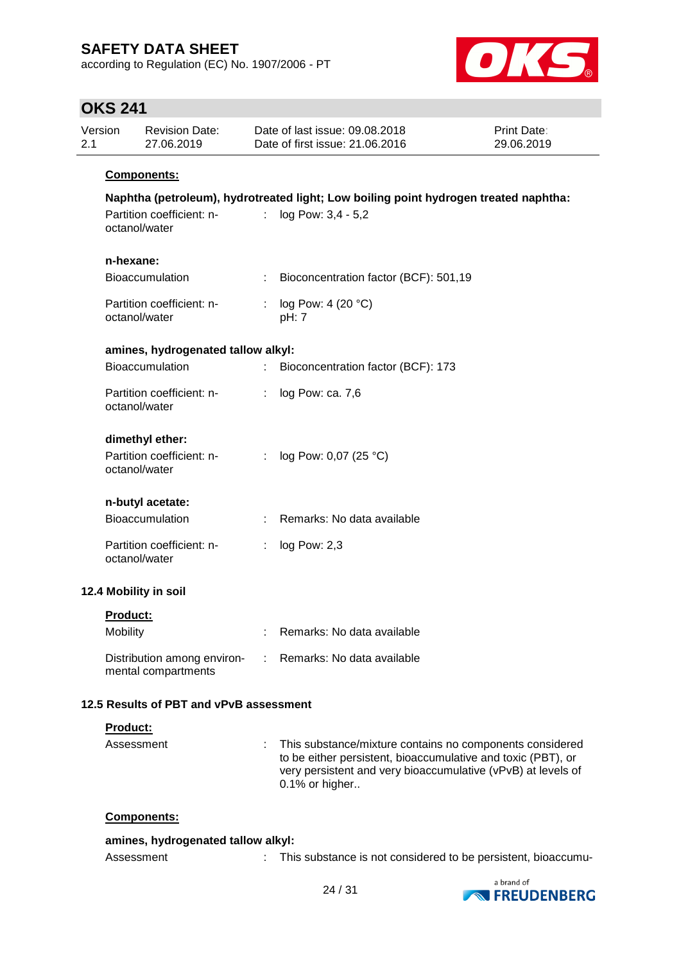according to Regulation (EC) No. 1907/2006 - PT



# **OKS 241**

| Version<br>2.1       | <b>Revision Date:</b><br>27.06.2019                           |    | Date of last issue: 09.08.2018<br>Date of first issue: 21.06.2016                                          | Print Date:<br>29.06.2019 |
|----------------------|---------------------------------------------------------------|----|------------------------------------------------------------------------------------------------------------|---------------------------|
|                      | Components:                                                   |    |                                                                                                            |                           |
|                      | Partition coefficient: n-<br>octanol/water                    | t. | Naphtha (petroleum), hydrotreated light; Low boiling point hydrogen treated naphtha:<br>log Pow: 3,4 - 5,2 |                           |
|                      | n-hexane:<br><b>Bioaccumulation</b>                           |    | Bioconcentration factor (BCF): 501,19                                                                      |                           |
|                      | Partition coefficient: n-<br>octanol/water                    |    | log Pow: 4 (20 °C)<br>pH: 7                                                                                |                           |
|                      | amines, hydrogenated tallow alkyl:                            |    |                                                                                                            |                           |
|                      | Bioaccumulation                                               | t. | Bioconcentration factor (BCF): 173                                                                         |                           |
|                      | Partition coefficient: n-<br>octanol/water                    |    | log Pow: ca. 7,6                                                                                           |                           |
|                      | dimethyl ether:<br>Partition coefficient: n-<br>octanol/water | ÷. | log Pow: 0,07 (25 °C)                                                                                      |                           |
|                      | n-butyl acetate:                                              |    |                                                                                                            |                           |
|                      | Bioaccumulation                                               |    | Remarks: No data available                                                                                 |                           |
|                      | Partition coefficient: n-<br>octanol/water                    | ÷. | log Pow: 2,3                                                                                               |                           |
|                      | 12.4 Mobility in soil                                         |    |                                                                                                            |                           |
| Product:<br>Mobility |                                                               |    | Remarks: No data available                                                                                 |                           |
|                      | Distribution among environ-<br>mental compartments            |    | Remarks: No data available                                                                                 |                           |
|                      | 12.5 Results of PBT and vPvB assessment                       |    |                                                                                                            |                           |
|                      | Product:                                                      |    |                                                                                                            |                           |
|                      |                                                               |    |                                                                                                            |                           |

| Assessment | : This substance/mixture contains no components considered<br>to be either persistent, bioaccumulative and toxic (PBT), or<br>very persistent and very bioaccumulative (vPvB) at levels of<br>$0.1\%$ or higher |
|------------|-----------------------------------------------------------------------------------------------------------------------------------------------------------------------------------------------------------------|
|            |                                                                                                                                                                                                                 |

### **Components:**

| amines, hydrogenated tallow alkyl: |                                                               |
|------------------------------------|---------------------------------------------------------------|
| Assessment                         | This substance is not considered to be persistent, bioaccumu- |

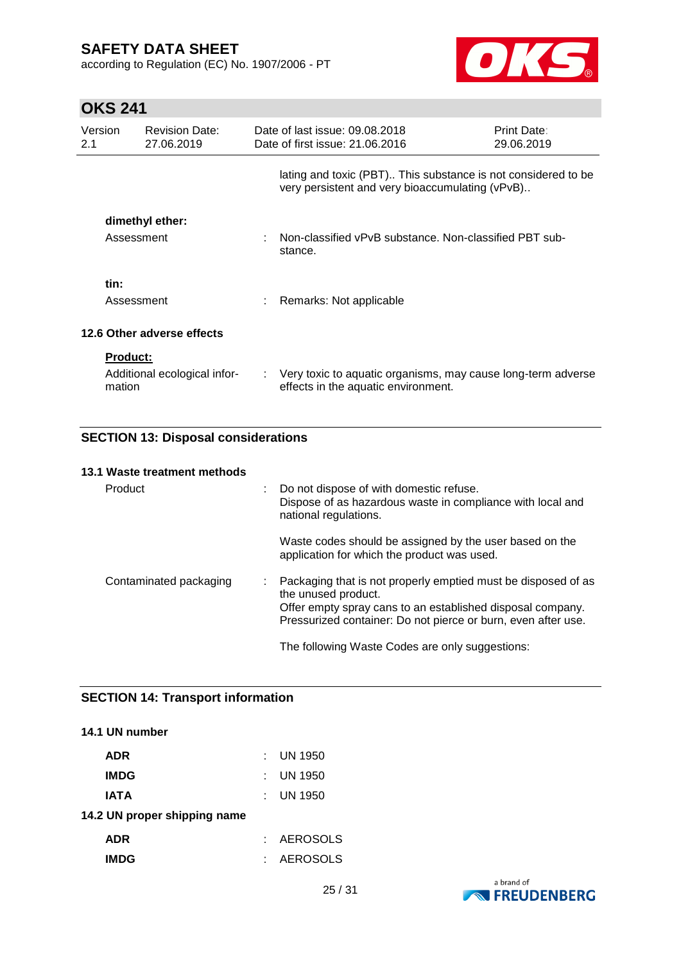according to Regulation (EC) No. 1907/2006 - PT



# **OKS 241**

| Version<br>2.1 | <b>Revision Date:</b><br>27.06.2019                       | Date of last issue: 09.08.2018<br>Date of first issue: 21.06.2016                                                | <b>Print Date:</b><br>29.06.2019 |
|----------------|-----------------------------------------------------------|------------------------------------------------------------------------------------------------------------------|----------------------------------|
|                |                                                           | lating and toxic (PBT) This substance is not considered to be<br>very persistent and very bioaccumulating (vPvB) |                                  |
|                | dimethyl ether:<br>Assessment                             | Non-classified vPvB substance. Non-classified PBT sub-<br>stance.                                                |                                  |
| tin:           | Assessment                                                | Remarks: Not applicable                                                                                          |                                  |
|                | 12.6 Other adverse effects                                |                                                                                                                  |                                  |
|                | <b>Product:</b><br>Additional ecological infor-<br>mation | : Very toxic to aquatic organisms, may cause long-term adverse<br>effects in the aquatic environment.            |                                  |

### **SECTION 13: Disposal considerations**

#### **13.1 Waste treatment methods**

| Product                | : Do not dispose of with domestic refuse.<br>Dispose of as hazardous waste in compliance with local and<br>national regulations.                                                                                    |
|------------------------|---------------------------------------------------------------------------------------------------------------------------------------------------------------------------------------------------------------------|
|                        | Waste codes should be assigned by the user based on the<br>application for which the product was used.                                                                                                              |
| Contaminated packaging | Packaging that is not properly emptied must be disposed of as<br>the unused product.<br>Offer empty spray cans to an established disposal company.<br>Pressurized container: Do not pierce or burn, even after use. |
|                        | The following Waste Codes are only suggestions:                                                                                                                                                                     |

### **SECTION 14: Transport information**

# **14.1 UN number ADR** : UN 1950 **IMDG** : UN 1950 **IATA** : UN 1950 **14.2 UN proper shipping name ADR** : AEROSOLS **IMDG** : AEROSOLS

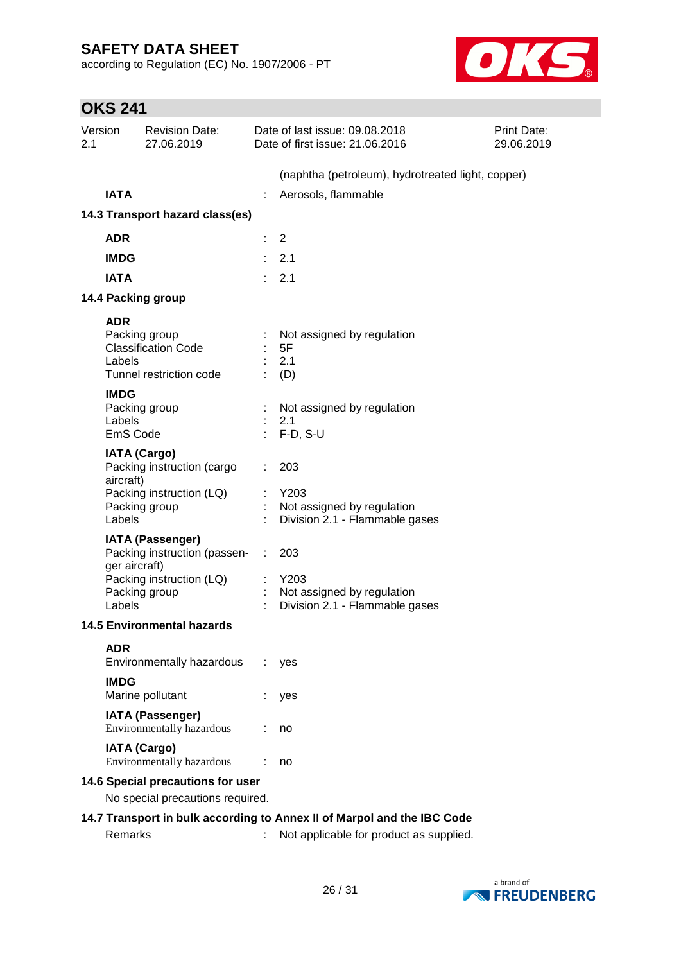according to Regulation (EC) No. 1907/2006 - PT



| <b>OKS 241</b> |  |
|----------------|--|
|----------------|--|

| Version<br>2.1 |                                   | <b>Revision Date:</b><br>27.06.2019                                                                  | Date of last issue: 09.08.2018<br>Date of first issue: 21.06.2016           | Print Date:<br>29.06.2019 |
|----------------|-----------------------------------|------------------------------------------------------------------------------------------------------|-----------------------------------------------------------------------------|---------------------------|
|                |                                   |                                                                                                      | (naphtha (petroleum), hydrotreated light, copper)                           |                           |
|                | <b>IATA</b>                       |                                                                                                      | Aerosols, flammable                                                         |                           |
|                |                                   | 14.3 Transport hazard class(es)                                                                      |                                                                             |                           |
|                | <b>ADR</b>                        |                                                                                                      |                                                                             |                           |
|                |                                   |                                                                                                      | $\overline{2}$                                                              |                           |
|                | <b>IMDG</b>                       |                                                                                                      | 2.1                                                                         |                           |
|                | <b>IATA</b>                       |                                                                                                      | 2.1                                                                         |                           |
|                |                                   | 14.4 Packing group                                                                                   |                                                                             |                           |
|                | <b>ADR</b><br>Labels              | Packing group<br><b>Classification Code</b><br>Tunnel restriction code                               | Not assigned by regulation<br>5F<br>2.1<br>(D)                              |                           |
|                | <b>IMDG</b><br>Labels<br>EmS Code | Packing group                                                                                        | Not assigned by regulation<br>2.1<br>$F-D, S-U$                             |                           |
|                | aircraft)<br>Labels               | <b>IATA (Cargo)</b><br>Packing instruction (cargo<br>Packing instruction (LQ)<br>Packing group       | 203<br>Y203<br>Not assigned by regulation<br>Division 2.1 - Flammable gases |                           |
|                | ger aircraft)<br>Labels           | <b>IATA (Passenger)</b><br>Packing instruction (passen-<br>Packing instruction (LQ)<br>Packing group | 203<br>Y203<br>Not assigned by regulation<br>Division 2.1 - Flammable gases |                           |
|                |                                   | <b>14.5 Environmental hazards</b>                                                                    |                                                                             |                           |
|                | <b>ADR</b><br><b>IMDG</b>         | Environmentally hazardous<br>Marine pollutant                                                        | yes<br>yes                                                                  |                           |
|                |                                   | <b>IATA (Passenger)</b><br>Environmentally hazardous                                                 | no                                                                          |                           |
|                |                                   | <b>IATA (Cargo)</b><br>Environmentally hazardous                                                     | no                                                                          |                           |
|                |                                   | 14.6 Special precautions for user                                                                    |                                                                             |                           |
|                |                                   | No special precautions required.                                                                     |                                                                             |                           |
|                |                                   |                                                                                                      | 14.7 Transport in bulk according to Annex II of Marpol and the IBC Code     |                           |
|                | Remarks                           |                                                                                                      | Not applicable for product as supplied.                                     |                           |

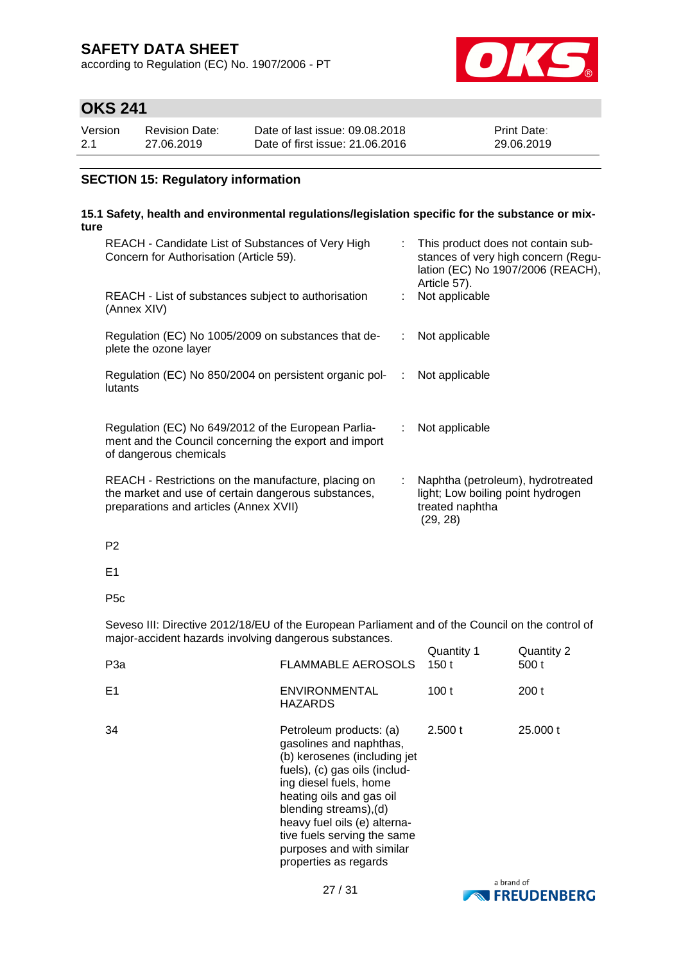according to Regulation (EC) No. 1907/2006 - PT



# **OKS 241**

| Version | Revision Date: | Date of last issue: 09.08.2018  | <b>Print Date:</b> |
|---------|----------------|---------------------------------|--------------------|
| 2.1     | 27.06.2019     | Date of first issue: 21,06,2016 | 29.06.2019         |

### **SECTION 15: Regulatory information**

#### **15.1 Safety, health and environmental regulations/legislation specific for the substance or mixture**

| REACH - Candidate List of Substances of Very High<br>Concern for Authorisation (Article 59).                                                         |                | This product does not contain sub-<br>stances of very high concern (Regu-<br>lation (EC) No 1907/2006 (REACH),<br>Article 57). |
|------------------------------------------------------------------------------------------------------------------------------------------------------|----------------|--------------------------------------------------------------------------------------------------------------------------------|
| REACH - List of substances subject to authorisation<br>(Annex XIV)                                                                                   |                | Not applicable                                                                                                                 |
| Regulation (EC) No 1005/2009 on substances that de-<br>plete the ozone layer                                                                         |                | Not applicable                                                                                                                 |
| Regulation (EC) No 850/2004 on persistent organic pol-<br>lutants                                                                                    | ÷              | Not applicable                                                                                                                 |
| Regulation (EC) No 649/2012 of the European Parlia-<br>ment and the Council concerning the export and import<br>of dangerous chemicals               | ÷.             | Not applicable                                                                                                                 |
| REACH - Restrictions on the manufacture, placing on<br>the market and use of certain dangerous substances,<br>preparations and articles (Annex XVII) | $\mathbb{R}^n$ | Naphtha (petroleum), hydrotreated<br>light; Low boiling point hydrogen<br>treated naphtha<br>(29, 28)                          |

P2

E1

P5c

Seveso III: Directive 2012/18/EU of the European Parliament and of the Council on the control of major-accident hazards involving dangerous substances.

| P <sub>3</sub> a | <b>FLAMMABLE AEROSOLS</b>                                                                                                                                                                                                                                                                                                | Quantity 1<br>150 t | Quantity 2<br>500 t |
|------------------|--------------------------------------------------------------------------------------------------------------------------------------------------------------------------------------------------------------------------------------------------------------------------------------------------------------------------|---------------------|---------------------|
| E <sub>1</sub>   | <b>ENVIRONMENTAL</b><br>HAZARDS                                                                                                                                                                                                                                                                                          | 100 t               | 200t                |
| 34               | Petroleum products: (a)<br>gasolines and naphthas,<br>(b) kerosenes (including jet<br>fuels), (c) gas oils (includ-<br>ing diesel fuels, home<br>heating oils and gas oil<br>blending streams), (d)<br>heavy fuel oils (e) alterna-<br>tive fuels serving the same<br>purposes and with similar<br>properties as regards | 2.500 t             | 25,000 t            |

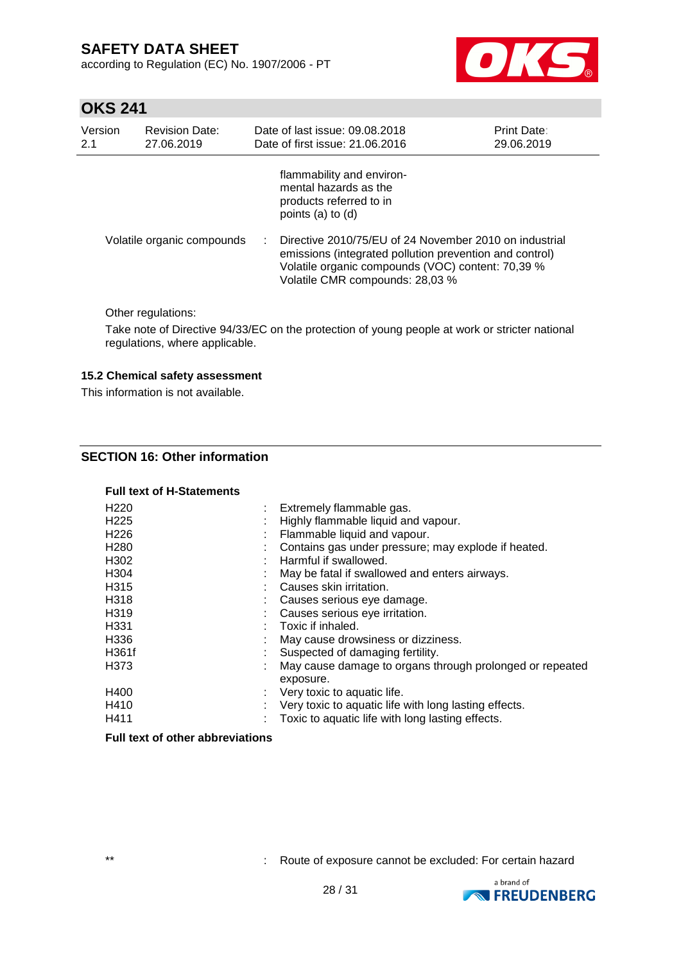according to Regulation (EC) No. 1907/2006 - PT



# **OKS 241**

| Version | <b>Revision Date:</b>      |    | Date of last issue: 09.08.2018                                                                                                                                                                                                                                                                                      | <b>Print Date:</b> |
|---------|----------------------------|----|---------------------------------------------------------------------------------------------------------------------------------------------------------------------------------------------------------------------------------------------------------------------------------------------------------------------|--------------------|
| 2.1     | 27.06.2019                 |    | Date of first issue: 21.06.2016                                                                                                                                                                                                                                                                                     | 29.06.2019         |
|         | Volatile organic compounds | t. | flammability and environ-<br>mental hazards as the<br>products referred to in<br>points $(a)$ to $(d)$<br>Directive 2010/75/EU of 24 November 2010 on industrial<br>emissions (integrated pollution prevention and control)<br>Volatile organic compounds (VOC) content: 70,39 %<br>Volatile CMR compounds: 28,03 % |                    |

Other regulations:

Take note of Directive 94/33/EC on the protection of young people at work or stricter national regulations, where applicable.

### **15.2 Chemical safety assessment**

This information is not available.

### **SECTION 16: Other information**

#### **Full text of H-Statements**

| H <sub>220</sub> | Extremely flammable gas.                                              |
|------------------|-----------------------------------------------------------------------|
| H <sub>225</sub> | Highly flammable liquid and vapour.                                   |
| H <sub>226</sub> | Flammable liquid and vapour.                                          |
| H <sub>280</sub> | Contains gas under pressure; may explode if heated.                   |
| H302             | Harmful if swallowed.                                                 |
| H304             | May be fatal if swallowed and enters airways.                         |
| H315             | Causes skin irritation.                                               |
| H318             | Causes serious eye damage.                                            |
| H319             | Causes serious eye irritation.                                        |
| H <sub>331</sub> | Toxic if inhaled.                                                     |
| H336             | May cause drowsiness or dizziness.                                    |
| H361f            | Suspected of damaging fertility.                                      |
| H373             | May cause damage to organs through prolonged or repeated<br>exposure. |
| H400             | Very toxic to aquatic life.                                           |
| H410             | Very toxic to aquatic life with long lasting effects.                 |
| H411             | Toxic to aquatic life with long lasting effects.                      |

### **Full text of other abbreviations**

\*\* : Route of exposure cannot be excluded: For certain hazard

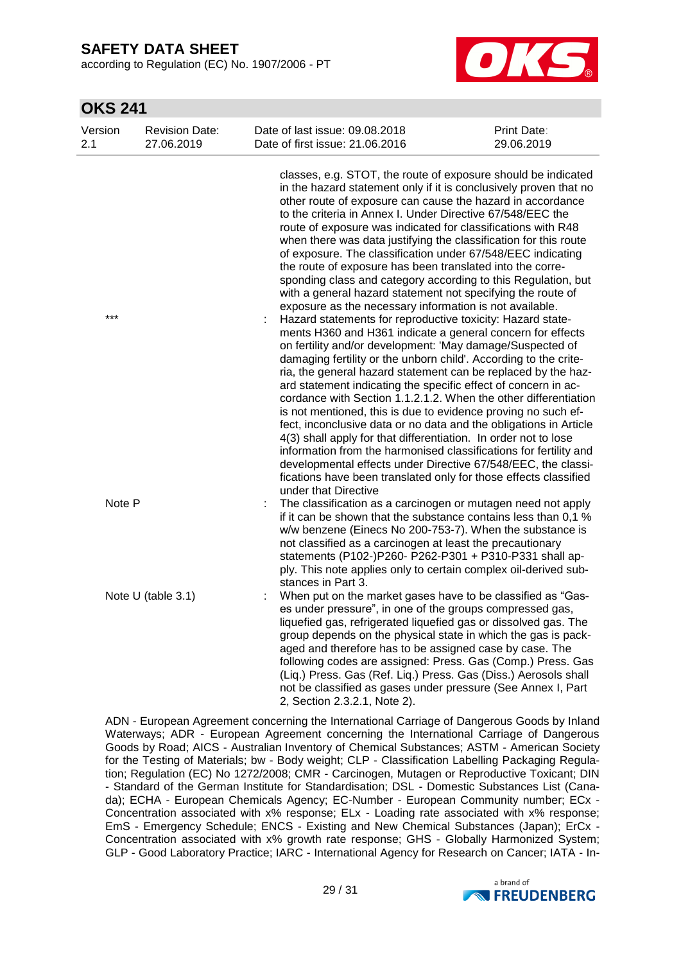according to Regulation (EC) No. 1907/2006 - PT



### **OKS 241**

| Version<br>2.1 | <b>Revision Date:</b><br>27.06.2019 | Date of last issue: 09.08.2018<br>Date of first issue: 21.06.2016                                                                                                                                                                                                                                                                                                                                                                                                                                                                                                                                                                                                                                                                                                                                                                                                                                                                                                                                                                                                                                                                                                                                                                                                                                                                                                                                                                                                                                                                                                                                               | Print Date:<br>29.06.2019 |
|----------------|-------------------------------------|-----------------------------------------------------------------------------------------------------------------------------------------------------------------------------------------------------------------------------------------------------------------------------------------------------------------------------------------------------------------------------------------------------------------------------------------------------------------------------------------------------------------------------------------------------------------------------------------------------------------------------------------------------------------------------------------------------------------------------------------------------------------------------------------------------------------------------------------------------------------------------------------------------------------------------------------------------------------------------------------------------------------------------------------------------------------------------------------------------------------------------------------------------------------------------------------------------------------------------------------------------------------------------------------------------------------------------------------------------------------------------------------------------------------------------------------------------------------------------------------------------------------------------------------------------------------------------------------------------------------|---------------------------|
| ***            |                                     | classes, e.g. STOT, the route of exposure should be indicated<br>in the hazard statement only if it is conclusively proven that no<br>other route of exposure can cause the hazard in accordance<br>to the criteria in Annex I. Under Directive 67/548/EEC the<br>route of exposure was indicated for classifications with R48<br>when there was data justifying the classification for this route<br>of exposure. The classification under 67/548/EEC indicating<br>the route of exposure has been translated into the corre-<br>sponding class and category according to this Regulation, but<br>with a general hazard statement not specifying the route of<br>exposure as the necessary information is not available.<br>Hazard statements for reproductive toxicity: Hazard state-<br>ments H360 and H361 indicate a general concern for effects<br>on fertility and/or development: 'May damage/Suspected of<br>damaging fertility or the unborn child'. According to the crite-<br>ria, the general hazard statement can be replaced by the haz-<br>ard statement indicating the specific effect of concern in ac-<br>cordance with Section 1.1.2.1.2. When the other differentiation<br>is not mentioned, this is due to evidence proving no such ef-<br>fect, inconclusive data or no data and the obligations in Article<br>4(3) shall apply for that differentiation. In order not to lose<br>information from the harmonised classifications for fertility and<br>developmental effects under Directive 67/548/EEC, the classi-<br>fications have been translated only for those effects classified |                           |
| Note P         |                                     | under that Directive<br>The classification as a carcinogen or mutagen need not apply<br>if it can be shown that the substance contains less than 0,1 %<br>w/w benzene (Einecs No 200-753-7). When the substance is<br>not classified as a carcinogen at least the precautionary<br>statements (P102-)P260- P262-P301 + P310-P331 shall ap-<br>ply. This note applies only to certain complex oil-derived sub-                                                                                                                                                                                                                                                                                                                                                                                                                                                                                                                                                                                                                                                                                                                                                                                                                                                                                                                                                                                                                                                                                                                                                                                                   |                           |
|                | Note U (table 3.1)                  | stances in Part 3.<br>When put on the market gases have to be classified as "Gas-<br>es under pressure", in one of the groups compressed gas,<br>liquefied gas, refrigerated liquefied gas or dissolved gas. The<br>group depends on the physical state in which the gas is pack-<br>aged and therefore has to be assigned case by case. The<br>following codes are assigned: Press. Gas (Comp.) Press. Gas<br>(Liq.) Press. Gas (Ref. Liq.) Press. Gas (Diss.) Aerosols shall<br>not be classified as gases under pressure (See Annex I, Part<br>2, Section 2.3.2.1, Note 2).                                                                                                                                                                                                                                                                                                                                                                                                                                                                                                                                                                                                                                                                                                                                                                                                                                                                                                                                                                                                                                  |                           |

ADN - European Agreement concerning the International Carriage of Dangerous Goods by Inland Waterways; ADR - European Agreement concerning the International Carriage of Dangerous Goods by Road; AICS - Australian Inventory of Chemical Substances; ASTM - American Society for the Testing of Materials; bw - Body weight; CLP - Classification Labelling Packaging Regulation; Regulation (EC) No 1272/2008; CMR - Carcinogen, Mutagen or Reproductive Toxicant; DIN - Standard of the German Institute for Standardisation; DSL - Domestic Substances List (Canada); ECHA - European Chemicals Agency; EC-Number - European Community number; ECx - Concentration associated with x% response; ELx - Loading rate associated with x% response; EmS - Emergency Schedule; ENCS - Existing and New Chemical Substances (Japan); ErCx - Concentration associated with x% growth rate response; GHS - Globally Harmonized System; GLP - Good Laboratory Practice; IARC - International Agency for Research on Cancer; IATA - In-

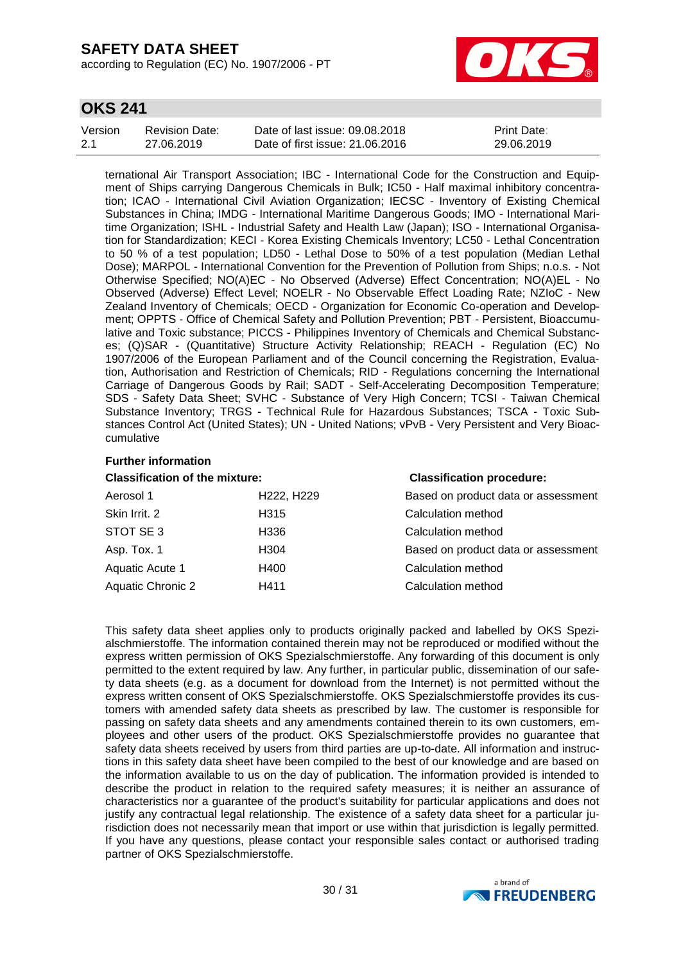according to Regulation (EC) No. 1907/2006 - PT



### **OKS 241**

| Version | Revision Date: | Date of last issue: 09.08.2018  | <b>Print Date:</b> |
|---------|----------------|---------------------------------|--------------------|
| 2.1     | 27.06.2019     | Date of first issue: 21,06,2016 | 29.06.2019         |

ternational Air Transport Association; IBC - International Code for the Construction and Equipment of Ships carrying Dangerous Chemicals in Bulk; IC50 - Half maximal inhibitory concentration; ICAO - International Civil Aviation Organization; IECSC - Inventory of Existing Chemical Substances in China; IMDG - International Maritime Dangerous Goods; IMO - International Maritime Organization; ISHL - Industrial Safety and Health Law (Japan); ISO - International Organisation for Standardization; KECI - Korea Existing Chemicals Inventory; LC50 - Lethal Concentration to 50 % of a test population; LD50 - Lethal Dose to 50% of a test population (Median Lethal Dose); MARPOL - International Convention for the Prevention of Pollution from Ships; n.o.s. - Not Otherwise Specified; NO(A)EC - No Observed (Adverse) Effect Concentration; NO(A)EL - No Observed (Adverse) Effect Level; NOELR - No Observable Effect Loading Rate; NZIoC - New Zealand Inventory of Chemicals; OECD - Organization for Economic Co-operation and Development; OPPTS - Office of Chemical Safety and Pollution Prevention; PBT - Persistent, Bioaccumulative and Toxic substance; PICCS - Philippines Inventory of Chemicals and Chemical Substances; (Q)SAR - (Quantitative) Structure Activity Relationship; REACH - Regulation (EC) No 1907/2006 of the European Parliament and of the Council concerning the Registration, Evaluation, Authorisation and Restriction of Chemicals; RID - Regulations concerning the International Carriage of Dangerous Goods by Rail; SADT - Self-Accelerating Decomposition Temperature; SDS - Safety Data Sheet; SVHC - Substance of Very High Concern; TCSI - Taiwan Chemical Substance Inventory; TRGS - Technical Rule for Hazardous Substances; TSCA - Toxic Substances Control Act (United States); UN - United Nations; vPvB - Very Persistent and Very Bioaccumulative

### **Further information**

| <b>Classification of the mixture:</b> |                  | <b>Classification procedure:</b>    |  |  |
|---------------------------------------|------------------|-------------------------------------|--|--|
| Aerosol 1                             | H222, H229       | Based on product data or assessment |  |  |
| Skin Irrit. 2                         | H <sub>315</sub> | Calculation method                  |  |  |
| STOT SE 3                             | H336             | Calculation method                  |  |  |
| Asp. Tox. 1                           | H304             | Based on product data or assessment |  |  |
| Aquatic Acute 1                       | H400             | Calculation method                  |  |  |
| Aquatic Chronic 2                     | H411             | Calculation method                  |  |  |

This safety data sheet applies only to products originally packed and labelled by OKS Spezialschmierstoffe. The information contained therein may not be reproduced or modified without the express written permission of OKS Spezialschmierstoffe. Any forwarding of this document is only permitted to the extent required by law. Any further, in particular public, dissemination of our safety data sheets (e.g. as a document for download from the Internet) is not permitted without the express written consent of OKS Spezialschmierstoffe. OKS Spezialschmierstoffe provides its customers with amended safety data sheets as prescribed by law. The customer is responsible for passing on safety data sheets and any amendments contained therein to its own customers, employees and other users of the product. OKS Spezialschmierstoffe provides no guarantee that safety data sheets received by users from third parties are up-to-date. All information and instructions in this safety data sheet have been compiled to the best of our knowledge and are based on the information available to us on the day of publication. The information provided is intended to describe the product in relation to the required safety measures; it is neither an assurance of characteristics nor a guarantee of the product's suitability for particular applications and does not justify any contractual legal relationship. The existence of a safety data sheet for a particular jurisdiction does not necessarily mean that import or use within that jurisdiction is legally permitted. If you have any questions, please contact your responsible sales contact or authorised trading partner of OKS Spezialschmierstoffe.